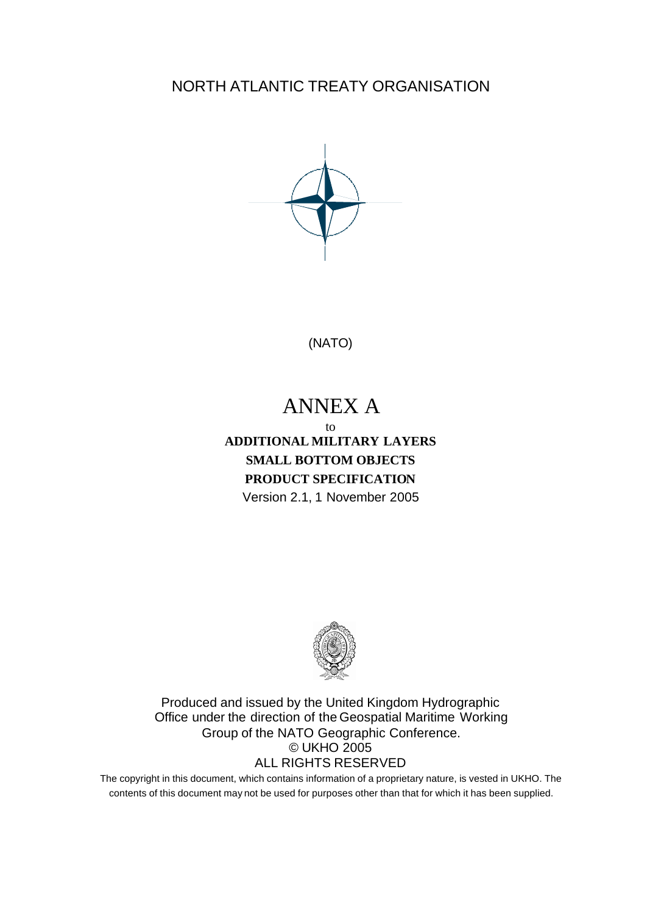NORTH ATLANTIC TREATY ORGANISATION



(NATO)

# ANNEX A

## to **ADDITIONAL MILITARY LAYERS SMALL BOTTOM OBJECTS PRODUCT SPECIFICATION** Version 2.1, 1 November 2005



Produced and issued by the United Kingdom Hydrographic Office under the direction of the Geospatial Maritime Working Group of the NATO Geographic Conference. © UKHO 2005 ALL RIGHTS RESERVED

The copyright in this document, which contains information of a proprietary nature, is vested in UKHO. The contents of this document may not be used for purposes other than that for which it has been supplied.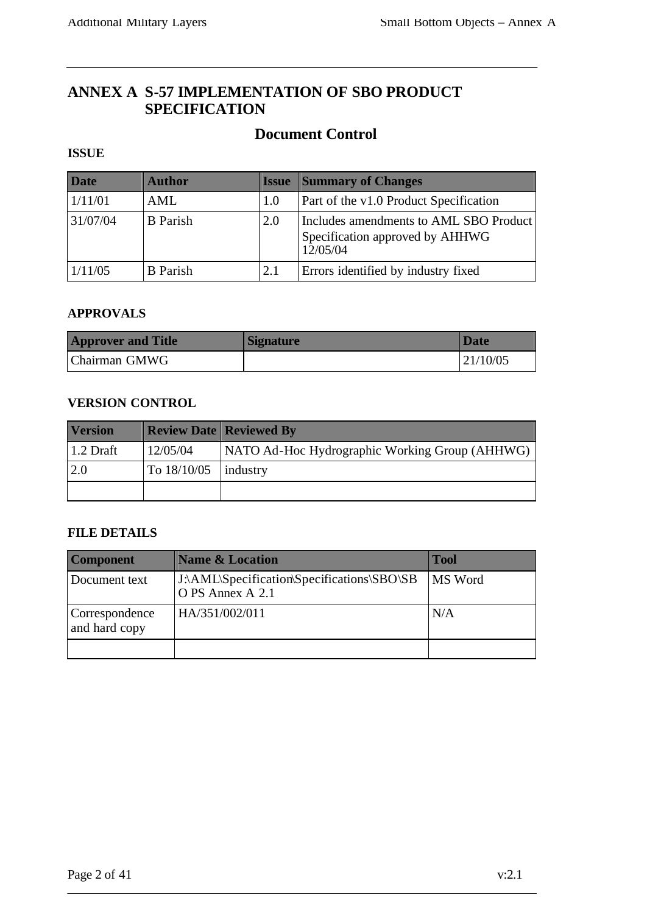## **ANNEX A S-57 IMPLEMENTATION OF SBO PRODUCT SPECIFICATION**

## **Document Control**

#### **ISSUE**

| <b>Date</b> | <b>Author</b>   | <b>Issue</b> | <b>Summary of Changes</b>                                                             |
|-------------|-----------------|--------------|---------------------------------------------------------------------------------------|
| 1/11/01     | AML             | 1.0          | Part of the v1.0 Product Specification                                                |
| 31/07/04    | <b>B</b> Parish | 2.0          | Includes amendments to AML SBO Product<br>Specification approved by AHHWG<br>12/05/04 |
| 1/11/05     | <b>B</b> Parish | 2.1          | Errors identified by industry fixed                                                   |

#### **APPROVALS**

| <b>Approver and Title</b> | <i><b>Signature</b></i> | <b>Date</b> |
|---------------------------|-------------------------|-------------|
| Chairman GMWG             |                         | 121/10/05   |

#### **VERSION CONTROL**

| <b>Version</b> |             | <b>Review Date   Reviewed By</b>               |
|----------------|-------------|------------------------------------------------|
| $1.2$ Draft    | 12/05/04    | NATO Ad-Hoc Hydrographic Working Group (AHHWG) |
| 2.0            | To 18/10/05 | industry                                       |
|                |             |                                                |

#### **FILE DETAILS**

| <b>Component</b>                | <b>Name &amp; Location</b>                                     | <b>Tool</b> |
|---------------------------------|----------------------------------------------------------------|-------------|
| Document text                   | J:\AML\Specification\Specifications\SBO\SB<br>O PS Annex A 2.1 | MS Word     |
| Correspondence<br>and hard copy | HA/351/002/011                                                 | N/A         |
|                                 |                                                                |             |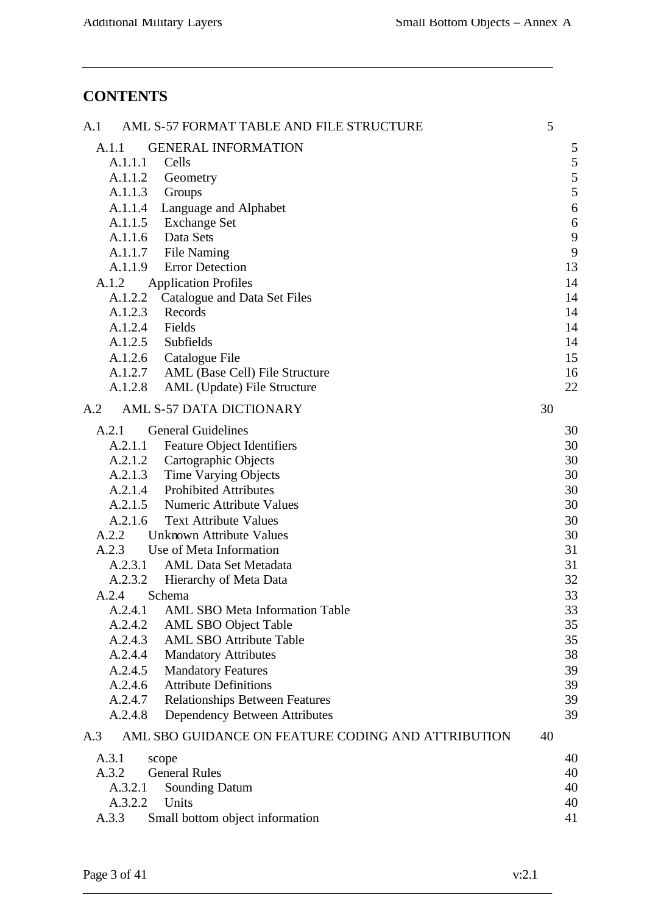## **CONTENTS**

| A.1   |         | AML S-57 FORMAT TABLE AND FILE STRUCTURE           | 5  |    |
|-------|---------|----------------------------------------------------|----|----|
| A.1.1 |         | <b>GENERAL INFORMATION</b>                         |    | 5  |
|       | A.1.1.1 | Cells                                              |    | 5  |
|       | A.1.1.2 | Geometry                                           |    | 5  |
|       | A.1.1.3 | Groups                                             |    | 5  |
|       | A.1.1.4 | Language and Alphabet                              |    | 6  |
|       | A.1.1.5 | <b>Exchange Set</b>                                |    | 6  |
|       | A.1.1.6 | Data Sets                                          |    | 9  |
|       | A.1.1.7 | File Naming                                        |    | 9  |
|       | A.1.1.9 | <b>Error Detection</b>                             |    | 13 |
| A.1.2 |         | <b>Application Profiles</b>                        |    | 14 |
|       | A.1.2.2 | Catalogue and Data Set Files                       |    | 14 |
|       | A.1.2.3 | Records                                            |    | 14 |
|       | A.1.2.4 | Fields                                             |    | 14 |
|       | A.1.2.5 | Subfields                                          |    | 14 |
|       | A.1.2.6 | Catalogue File                                     |    | 15 |
|       | A.1.2.7 | AML (Base Cell) File Structure                     |    | 16 |
|       | A.1.2.8 | AML (Update) File Structure                        |    | 22 |
| A.2   |         | AML S-57 DATA DICTIONARY                           | 30 |    |
| A.2.1 |         | <b>General Guidelines</b>                          |    | 30 |
|       | A.2.1.1 | <b>Feature Object Identifiers</b>                  |    | 30 |
|       | A.2.1.2 | Cartographic Objects                               |    | 30 |
|       | A.2.1.3 | Time Varying Objects                               |    | 30 |
|       | A.2.1.4 | <b>Prohibited Attributes</b>                       |    | 30 |
|       | A.2.1.5 | <b>Numeric Attribute Values</b>                    |    | 30 |
|       | A.2.1.6 | <b>Text Attribute Values</b>                       |    | 30 |
| A.2.2 |         | <b>Unknown Attribute Values</b>                    |    | 30 |
| A.2.3 |         | Use of Meta Information                            |    | 31 |
|       | A.2.3.1 | <b>AML Data Set Metadata</b>                       |    | 31 |
|       | A.2.3.2 | Hierarchy of Meta Data                             |    | 32 |
| A.2.4 |         | Schema                                             |    | 33 |
|       | A.2.4.1 | AML SBO Meta Information Table                     |    | 33 |
|       | A.2.4.2 | <b>AML SBO Object Table</b>                        |    | 35 |
|       | A.2.4.3 | <b>AML SBO Attribute Table</b>                     |    | 35 |
|       | A.2.4.4 | <b>Mandatory Attributes</b>                        |    | 38 |
|       | A.2.4.5 | <b>Mandatory Features</b>                          |    | 39 |
|       | A.2.4.6 | <b>Attribute Definitions</b>                       |    | 39 |
|       | A.2.4.7 | <b>Relationships Between Features</b>              |    | 39 |
|       | A.2.4.8 | Dependency Between Attributes                      |    | 39 |
| A.3   |         | AML SBO GUIDANCE ON FEATURE CODING AND ATTRIBUTION | 40 |    |
| A.3.1 |         | scope                                              |    | 40 |
| A.3.2 |         | <b>General Rules</b>                               |    | 40 |
|       | A.3.2.1 | <b>Sounding Datum</b>                              |    | 40 |
|       | A.3.2.2 | Units                                              |    | 40 |
| A.3.3 |         | Small bottom object information                    |    | 41 |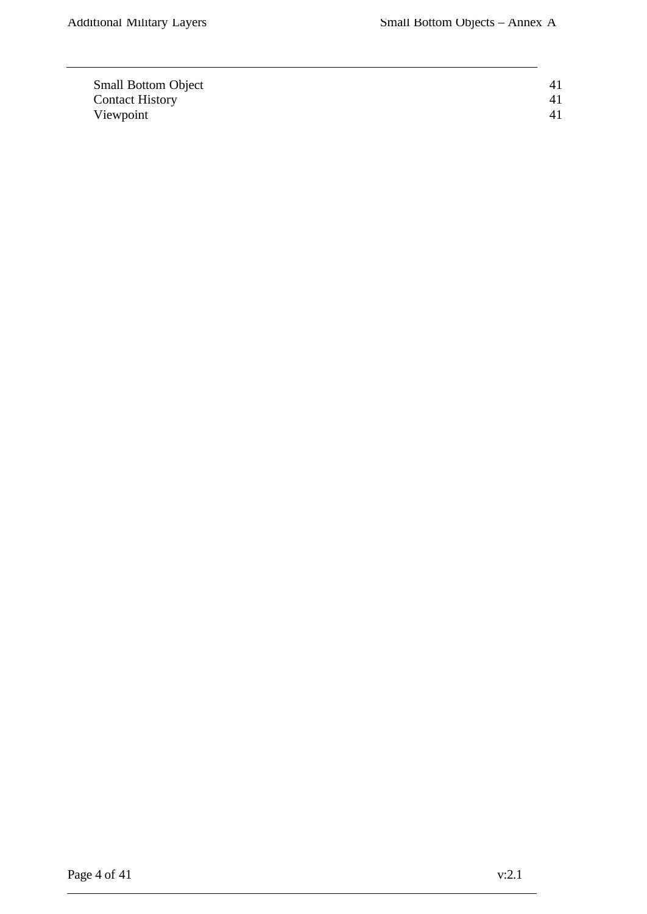| <b>Small Bottom Object</b> |  |
|----------------------------|--|
| <b>Contact History</b>     |  |
| Viewpoint                  |  |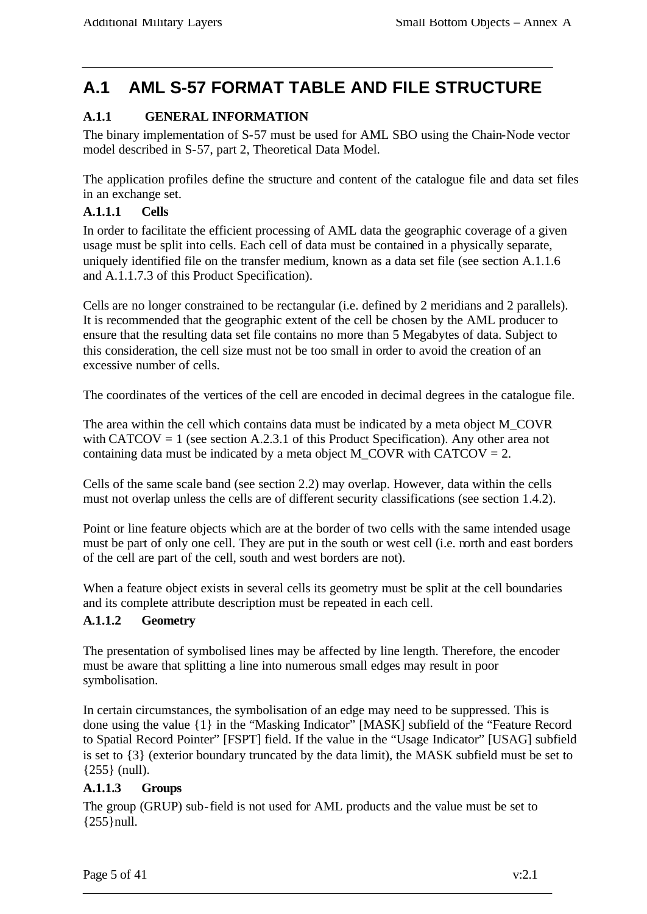## **A.1 AML S-57 FORMAT TABLE AND FILE STRUCTURE**

## **A.1.1 GENERAL INFORMATION**

The binary implementation of S-57 must be used for AML SBO using the Chain-Node vector model described in S-57, part 2, Theoretical Data Model.

The application profiles define the structure and content of the catalogue file and data set files in an exchange set.

#### **A.1.1.1 Cells**

In order to facilitate the efficient processing of AML data the geographic coverage of a given usage must be split into cells. Each cell of data must be contained in a physically separate, uniquely identified file on the transfer medium, known as a data set file (see section A.1.1.6 and A.1.1.7.3 of this Product Specification).

Cells are no longer constrained to be rectangular (i.e. defined by 2 meridians and 2 parallels). It is recommended that the geographic extent of the cell be chosen by the AML producer to ensure that the resulting data set file contains no more than 5 Megabytes of data. Subject to this consideration, the cell size must not be too small in order to avoid the creation of an excessive number of cells.

The coordinates of the vertices of the cell are encoded in decimal degrees in the catalogue file.

The area within the cell which contains data must be indicated by a meta object M\_COVR with CATCOV = 1 (see section A.2.3.1 of this Product Specification). Any other area not containing data must be indicated by a meta object M\_COVR with CATCOV =  $2$ .

Cells of the same scale band (see section 2.2) may overlap. However, data within the cells must not overlap unless the cells are of different security classifications (see section 1.4.2).

Point or line feature objects which are at the border of two cells with the same intended usage must be part of only one cell. They are put in the south or west cell (i.e. north and east borders of the cell are part of the cell, south and west borders are not).

When a feature object exists in several cells its geometry must be split at the cell boundaries and its complete attribute description must be repeated in each cell.

#### **A.1.1.2 Geometry**

The presentation of symbolised lines may be affected by line length. Therefore, the encoder must be aware that splitting a line into numerous small edges may result in poor symbolisation.

In certain circumstances, the symbolisation of an edge may need to be suppressed. This is done using the value {1} in the "Masking Indicator" [MASK] subfield of the "Feature Record to Spatial Record Pointer" [FSPT] field. If the value in the "Usage Indicator" [USAG] subfield is set to {3} (exterior boundary truncated by the data limit), the MASK subfield must be set to {255} (null).

#### **A.1.1.3 Groups**

The group (GRUP) sub-field is not used for AML products and the value must be set to {255}null.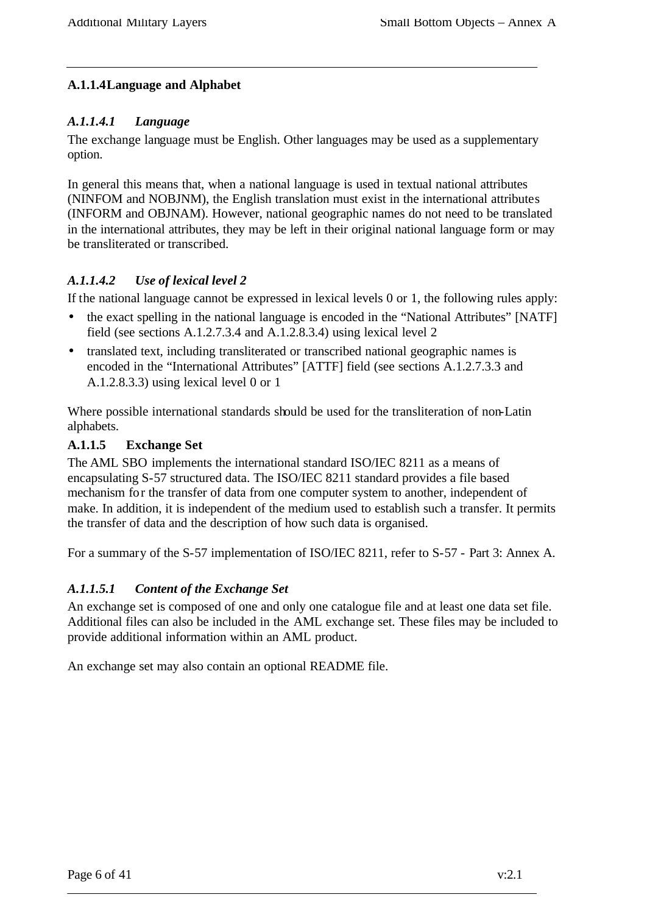#### **A.1.1.4Language and Alphabet**

#### *A.1.1.4.1 Language*

The exchange language must be English. Other languages may be used as a supplementary option.

In general this means that, when a national language is used in textual national attributes (NINFOM and NOBJNM), the English translation must exist in the international attributes (INFORM and OBJNAM). However, national geographic names do not need to be translated in the international attributes, they may be left in their original national language form or may be transliterated or transcribed.

## *A.1.1.4.2 Use of lexical level 2*

If the national language cannot be expressed in lexical levels 0 or 1, the following rules apply:

- the exact spelling in the national language is encoded in the "National Attributes" [NATF] field (see sections A.1.2.7.3.4 and A.1.2.8.3.4) using lexical level 2
- translated text, including transliterated or transcribed national geographic names is encoded in the "International Attributes" [ATTF] field (see sections A.1.2.7.3.3 and A.1.2.8.3.3) using lexical level 0 or 1

Where possible international standards should be used for the transliteration of non-Latin alphabets.

#### **A.1.1.5 Exchange Set**

The AML SBO implements the international standard ISO/IEC 8211 as a means of encapsulating S-57 structured data. The ISO/IEC 8211 standard provides a file based mechanism for the transfer of data from one computer system to another, independent of make. In addition, it is independent of the medium used to establish such a transfer. It permits the transfer of data and the description of how such data is organised.

For a summary of the S-57 implementation of ISO/IEC 8211, refer to S-57 - Part 3: Annex A.

## *A.1.1.5.1 Content of the Exchange Set*

An exchange set is composed of one and only one catalogue file and at least one data set file. Additional files can also be included in the AML exchange set. These files may be included to provide additional information within an AML product.

An exchange set may also contain an optional README file.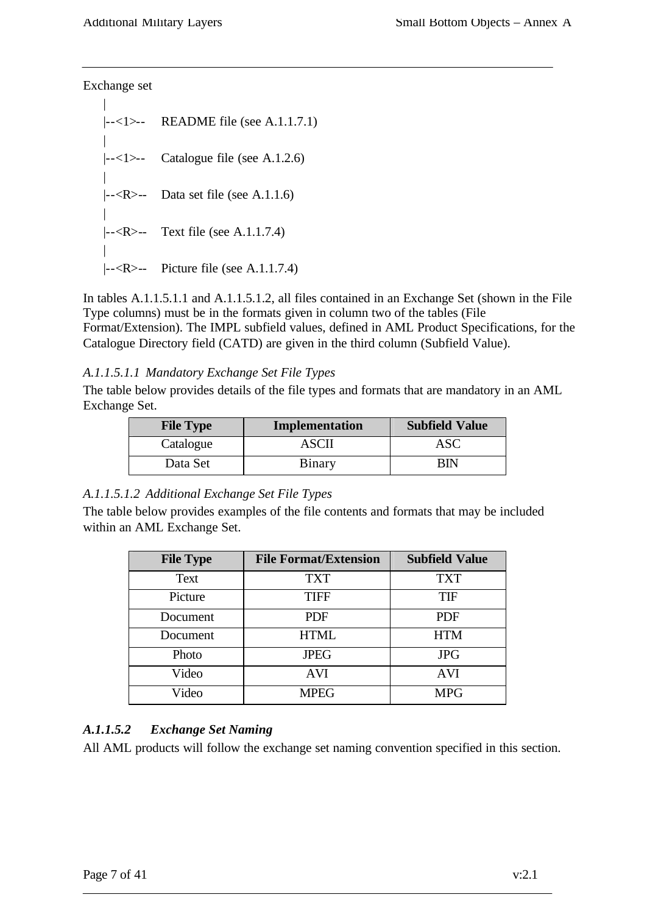Exchange set

| |--<1>-- README file (see A.1.1.7.1) | |--<1>-- Catalogue file (see A.1.2.6) |  $\left| \left| \left| \right| < R \right| \right|$  Data set file (see A.1.1.6) | |--<R>-- Text file (see A.1.1.7.4) |  $\left| \left| \left| \right| < R \right| \right|$  Picture file (see A.1.1.7.4)

In tables A.1.1.5.1.1 and A.1.1.5.1.2, all files contained in an Exchange Set (shown in the File Type columns) must be in the formats given in column two of the tables (File Format/Extension). The IMPL subfield values, defined in AML Product Specifications, for the Catalogue Directory field (CATD) are given in the third column (Subfield Value).

#### *A.1.1.5.1.1 Mandatory Exchange Set File Types*

The table below provides details of the file types and formats that are mandatory in an AML Exchange Set.

| <b>File Type</b> | Implementation | <b>Subfield Value</b> |
|------------------|----------------|-----------------------|
| Catalogue        | ASCII          | ASC                   |
| Data Set         | Binary         | BIN                   |

#### *A.1.1.5.1.2 Additional Exchange Set File Types*

The table below provides examples of the file contents and formats that may be included within an AML Exchange Set.

| <b>File Type</b> | <b>File Format/Extension</b> | <b>Subfield Value</b> |
|------------------|------------------------------|-----------------------|
| Text             | <b>TXT</b>                   | <b>TXT</b>            |
| Picture          | <b>TIFF</b>                  | <b>TIF</b>            |
| Document         | <b>PDF</b>                   | <b>PDF</b>            |
| Document         | <b>HTML</b>                  | <b>HTM</b>            |
| Photo            | <b>JPEG</b>                  | <b>JPG</b>            |
| Video            | <b>AVI</b>                   | <b>AVI</b>            |
| Video            | <b>MPEG</b>                  | <b>MPG</b>            |

#### *A.1.1.5.2 Exchange Set Naming*

All AML products will follow the exchange set naming convention specified in this section.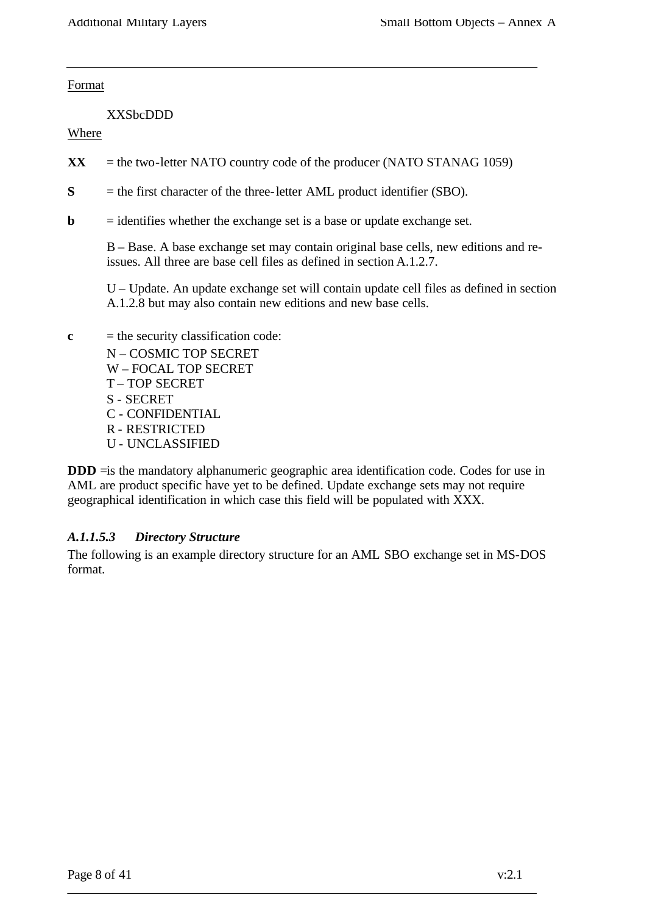Format

XXSbcDDD

Where

- $\bf{XX}$  = the two-letter NATO country code of the producer (NATO STANAG 1059)
- **S** = the first character of the three-letter AML product identifier (SBO).
- **= identifies whether the exchange set is a base or update exchange set.**

B – Base. A base exchange set may contain original base cells, new editions and reissues. All three are base cell files as defined in section A.1.2.7.

U – Update. An update exchange set will contain update cell files as defined in section A.1.2.8 but may also contain new editions and new base cells.

 $c =$  the security classification code: N – COSMIC TOP SECRET W – FOCAL TOP SECRET T – TOP SECRET S - SECRET C - CONFIDENTIAL R - RESTRICTED U - UNCLASSIFIED

**DDD** = is the mandatory alphanumeric geographic area identification code. Codes for use in AML are product specific have yet to be defined. Update exchange sets may not require geographical identification in which case this field will be populated with XXX.

#### *A.1.1.5.3 Directory Structure*

The following is an example directory structure for an AML SBO exchange set in MS-DOS format.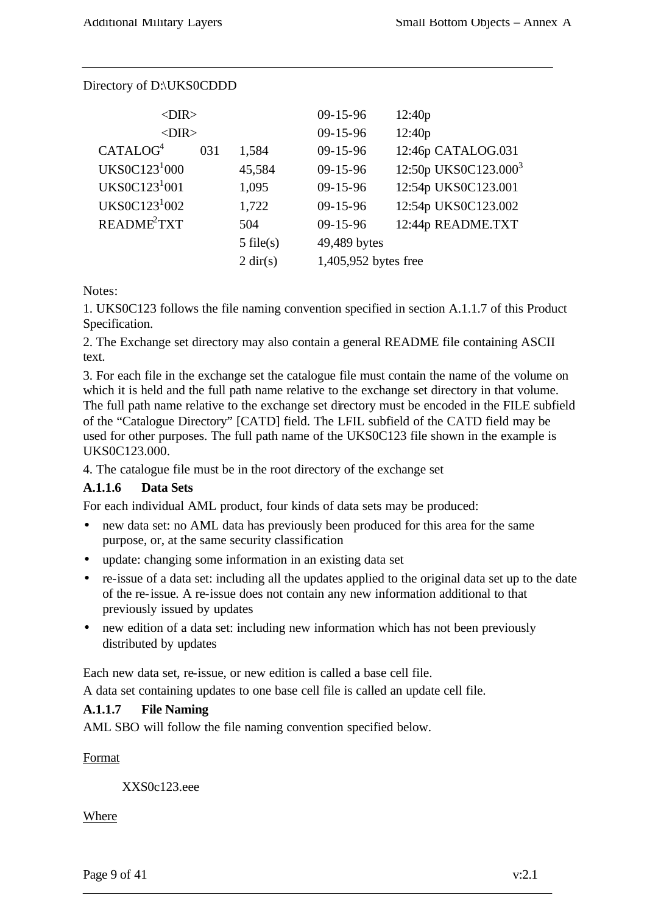| $<$ DIR $>$               |     |                    | $09 - 15 - 96$       | 12:40p                           |
|---------------------------|-----|--------------------|----------------------|----------------------------------|
| $<$ DIR $>$               |     |                    | $09 - 15 - 96$       | 12:40p                           |
| CATALOG <sup>4</sup>      | 031 | 1,584              | $09 - 15 - 96$       | 12:46p CATALOG.031               |
| UKS0C123 <sup>1</sup> 000 |     | 45,584             | $09 - 15 - 96$       | 12:50p UKS0C123.000 <sup>3</sup> |
| UKS0C123 <sup>1</sup> 001 |     | 1,095              | $09 - 15 - 96$       | 12:54p UKS0C123.001              |
| UKS0C123 <sup>1</sup> 002 |     | 1,722              | $09 - 15 - 96$       | 12:54p UKS0C123.002              |
| README <sup>2</sup> TXT   |     | 504                | $09 - 15 - 96$       | 12:44p README.TXT                |
|                           |     | $5$ file(s)        | 49,489 bytes         |                                  |
|                           |     | $2 \text{ dir}(s)$ | 1,405,952 bytes free |                                  |
|                           |     |                    |                      |                                  |

#### Directory of D:\UKS0CDDD

Notes:

1. UKS0C123 follows the file naming convention specified in section A.1.1.7 of this Product Specification.

2. The Exchange set directory may also contain a general README file containing ASCII text.

3. For each file in the exchange set the catalogue file must contain the name of the volume on which it is held and the full path name relative to the exchange set directory in that volume. The full path name relative to the exchange set directory must be encoded in the FILE subfield of the "Catalogue Directory" [CATD] field. The LFIL subfield of the CATD field may be used for other purposes. The full path name of the UKS0C123 file shown in the example is UKS0C123.000.

4. The catalogue file must be in the root directory of the exchange set

#### **A.1.1.6 Data Sets**

For each individual AML product, four kinds of data sets may be produced:

- new data set: no AML data has previously been produced for this area for the same purpose, or, at the same security classification
- update: changing some information in an existing data set
- re-issue of a data set: including all the updates applied to the original data set up to the date of the re-issue. A re-issue does not contain any new information additional to that previously issued by updates
- new edition of a data set: including new information which has not been previously distributed by updates

Each new data set, re-issue, or new edition is called a base cell file.

A data set containing updates to one base cell file is called an update cell file.

#### **A.1.1.7 File Naming**

AML SBO will follow the file naming convention specified below.

Format

XXS0c123.eee

Where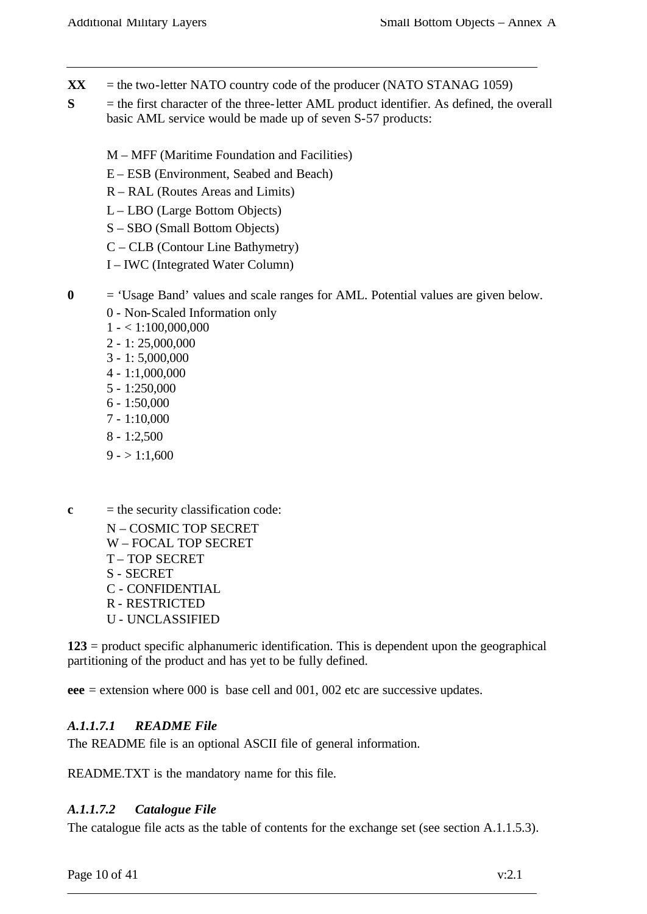- $\bf{XX}$  = the two-letter NATO country code of the producer (NATO STANAG 1059)
- **S** = the first character of the three-letter AML product identifier. As defined, the overall basic AML service would be made up of seven S-57 products:
	- M MFF (Maritime Foundation and Facilities)
	- E ESB (Environment, Seabed and Beach)
	- R RAL (Routes Areas and Limits)
	- L LBO (Large Bottom Objects)
	- S SBO (Small Bottom Objects)
	- C CLB (Contour Line Bathymetry)
	- I IWC (Integrated Water Column)
- **0** = 'Usage Band' values and scale ranges for AML. Potential values are given below.
	- 0 Non-Scaled Information only
	- $1 1:100,000,000$
	- 2 1: 25,000,000
	- 3 1: 5,000,000
	- 4 1:1,000,000
	- 5 1:250,000
	- $6 1:50,000$
	- 7 1:10,000
	- 8 1:2,500
	- $9 1:1,600$
- $c =$  the security classification code:
	- N COSMIC TOP SECRET W – FOCAL TOP SECRET T – TOP SECRET S - SECRET C - CONFIDENTIAL R - RESTRICTED U - UNCLASSIFIED

**123** = product specific alphanumeric identification. This is dependent upon the geographical partitioning of the product and has yet to be fully defined.

**eee** = extension where 000 is base cell and 001, 002 etc are successive updates.

#### *A.1.1.7.1 README File*

The README file is an optional ASCII file of general information.

README.TXT is the mandatory name for this file.

#### *A.1.1.7.2 Catalogue File*

The catalogue file acts as the table of contents for the exchange set (see section A.1.1.5.3).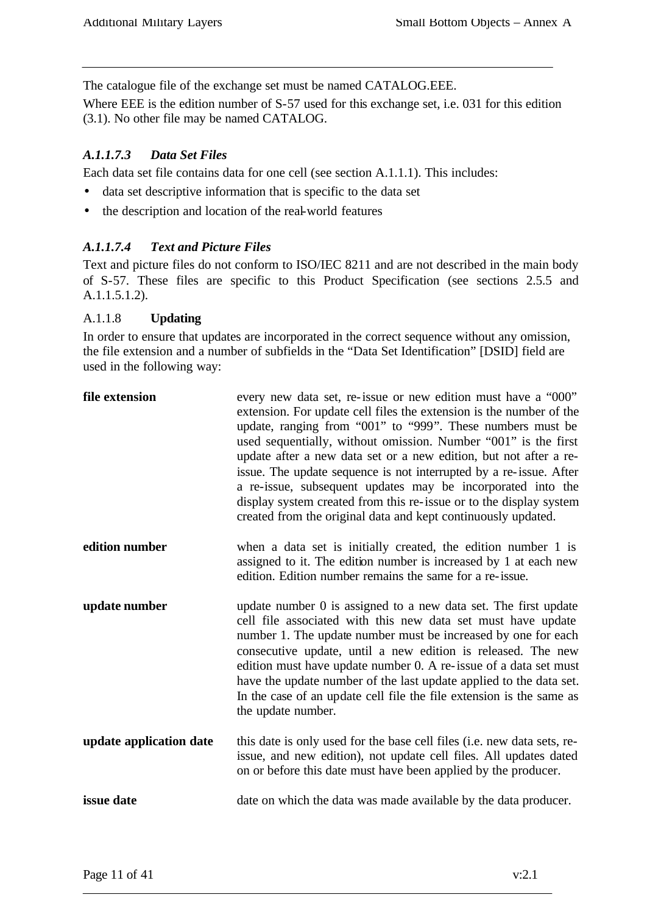The catalogue file of the exchange set must be named CATALOG.EEE.

Where EEE is the edition number of S-57 used for this exchange set, i.e. 031 for this edition (3.1). No other file may be named CATALOG.

#### *A.1.1.7.3 Data Set Files*

Each data set file contains data for one cell (see section A.1.1.1). This includes:

- data set descriptive information that is specific to the data set
- the description and location of the real-world features

#### *A.1.1.7.4 Text and Picture Files*

Text and picture files do not conform to ISO/IEC 8211 and are not described in the main body of S-57. These files are specific to this Product Specification (see sections 2.5.5 and A.1.1.5.1.2).

#### A.1.1.8 **Updating**

In order to ensure that updates are incorporated in the correct sequence without any omission, the file extension and a number of subfields in the "Data Set Identification" [DSID] field are used in the following way:

| file extension          | every new data set, re-issue or new edition must have a "000"<br>extension. For update cell files the extension is the number of the<br>update, ranging from "001" to "999". These numbers must be<br>used sequentially, without omission. Number "001" is the first<br>update after a new data set or a new edition, but not after a re-<br>issue. The update sequence is not interrupted by a re-issue. After<br>a re-issue, subsequent updates may be incorporated into the<br>display system created from this re-issue or to the display system<br>created from the original data and kept continuously updated. |
|-------------------------|-----------------------------------------------------------------------------------------------------------------------------------------------------------------------------------------------------------------------------------------------------------------------------------------------------------------------------------------------------------------------------------------------------------------------------------------------------------------------------------------------------------------------------------------------------------------------------------------------------------------------|
| edition number          | when a data set is initially created, the edition number 1 is<br>assigned to it. The edition number is increased by 1 at each new<br>edition. Edition number remains the same for a re-issue.                                                                                                                                                                                                                                                                                                                                                                                                                         |
| update number           | update number 0 is assigned to a new data set. The first update<br>cell file associated with this new data set must have update<br>number 1. The update number must be increased by one for each<br>consecutive update, until a new edition is released. The new<br>edition must have update number 0. A re-issue of a data set must<br>have the update number of the last update applied to the data set.<br>In the case of an update cell file the file extension is the same as<br>the update number.                                                                                                              |
| update application date | this date is only used for the base cell files (i.e. new data sets, re-<br>issue, and new edition), not update cell files. All updates dated<br>on or before this date must have been applied by the producer.                                                                                                                                                                                                                                                                                                                                                                                                        |
| issue date              | date on which the data was made available by the data producer.                                                                                                                                                                                                                                                                                                                                                                                                                                                                                                                                                       |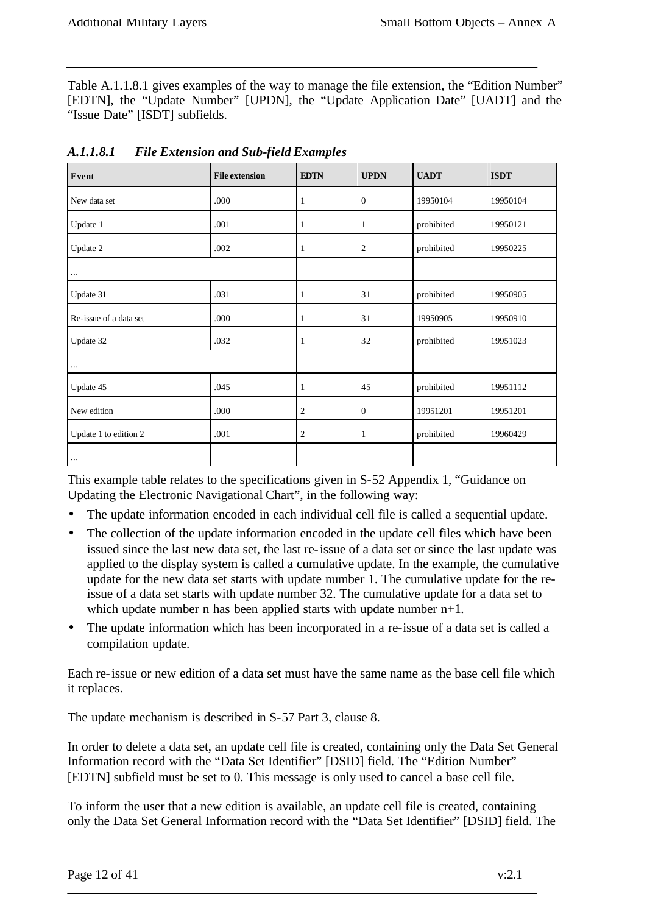Table A.1.1.8.1 gives examples of the way to manage the file extension, the "Edition Number" [EDTN], the "Update Number" [UPDN], the "Update Application Date" [UADT] and the "Issue Date" [ISDT] subfields.

| Event                  | <b>File extension</b> | <b>EDTN</b>    | <b>UPDN</b>      | <b>UADT</b> | <b>ISDT</b> |
|------------------------|-----------------------|----------------|------------------|-------------|-------------|
| New data set           | .000                  | 1              | $\mathbf{0}$     | 19950104    | 19950104    |
| Update 1               | .001                  | 1              | 1                | prohibited  | 19950121    |
| Update 2               | .002                  | 1              | $\mathfrak{2}$   | prohibited  | 19950225    |
| $\cdots$               |                       |                |                  |             |             |
| Update 31              | .031                  |                | 31               | prohibited  | 19950905    |
| Re-issue of a data set | .000                  | 1              | 31               | 19950905    | 19950910    |
| Update 32              | .032                  | 1              | 32               | prohibited  | 19951023    |
| $\cdots$               |                       |                |                  |             |             |
| Update 45              | .045                  | 1              | 45               | prohibited  | 19951112    |
| New edition            | .000                  | 2              | $\boldsymbol{0}$ | 19951201    | 19951201    |
| Update 1 to edition 2  | .001                  | $\overline{c}$ | 1                | prohibited  | 19960429    |
| $\cdots$               |                       |                |                  |             |             |

*A.1.1.8.1 File Extension and Sub-field Examples*

This example table relates to the specifications given in S-52 Appendix 1, "Guidance on Updating the Electronic Navigational Chart", in the following way:

- The update information encoded in each individual cell file is called a sequential update.
- The collection of the update information encoded in the update cell files which have been issued since the last new data set, the last re-issue of a data set or since the last update was applied to the display system is called a cumulative update. In the example, the cumulative update for the new data set starts with update number 1. The cumulative update for the reissue of a data set starts with update number 32. The cumulative update for a data set to which update number n has been applied starts with update number  $n+1$ .
- The update information which has been incorporated in a re-issue of a data set is called a compilation update.

Each re-issue or new edition of a data set must have the same name as the base cell file which it replaces.

The update mechanism is described in S-57 Part 3, clause 8.

In order to delete a data set, an update cell file is created, containing only the Data Set General Information record with the "Data Set Identifier" [DSID] field. The "Edition Number" [EDTN] subfield must be set to 0. This message is only used to cancel a base cell file.

To inform the user that a new edition is available, an update cell file is created, containing only the Data Set General Information record with the "Data Set Identifier" [DSID] field. The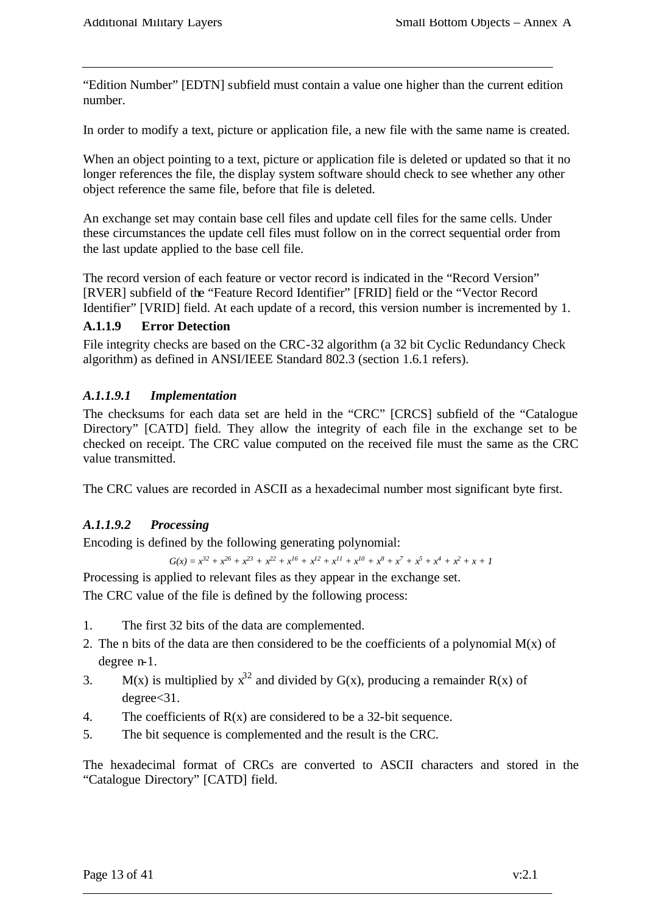"Edition Number" [EDTN] subfield must contain a value one higher than the current edition number.

In order to modify a text, picture or application file, a new file with the same name is created.

When an object pointing to a text, picture or application file is deleted or updated so that it no longer references the file, the display system software should check to see whether any other object reference the same file, before that file is deleted.

An exchange set may contain base cell files and update cell files for the same cells. Under these circumstances the update cell files must follow on in the correct sequential order from the last update applied to the base cell file.

The record version of each feature or vector record is indicated in the "Record Version" [RVER] subfield of the "Feature Record Identifier" [FRID] field or the "Vector Record Identifier" [VRID] field. At each update of a record, this version number is incremented by 1.

#### **A.1.1.9 Error Detection**

File integrity checks are based on the CRC-32 algorithm (a 32 bit Cyclic Redundancy Check algorithm) as defined in ANSI/IEEE Standard 802.3 (section 1.6.1 refers).

#### *A.1.1.9.1 Implementation*

The checksums for each data set are held in the "CRC" [CRCS] subfield of the "Catalogue Directory" [CATD] field. They allow the integrity of each file in the exchange set to be checked on receipt. The CRC value computed on the received file must the same as the CRC value transmitted.

The CRC values are recorded in ASCII as a hexadecimal number most significant byte first.

#### *A.1.1.9.2 Processing*

Encoding is defined by the following generating polynomial:

 $G(x) = x^{32} + x^{26} + x^{23} + x^{22} + x^{16} + x^{12} + x^{11} + x^{10} + x^8 + x^7 + x^5 + x^4 + x^2 + x + 1$ 

Processing is applied to relevant files as they appear in the exchange set.

The CRC value of the file is defined by the following process:

- 1. The first 32 bits of the data are complemented.
- 2. The n bits of the data are then considered to be the coefficients of a polynomial  $M(x)$  of degree n-1.
- 3. M(x) is multiplied by  $x^{32}$  and divided by G(x), producing a remainder R(x) of degree<31.
- 4. The coefficients of  $R(x)$  are considered to be a 32-bit sequence.
- 5. The bit sequence is complemented and the result is the CRC.

The hexadecimal format of CRCs are converted to ASCII characters and stored in the "Catalogue Directory" [CATD] field.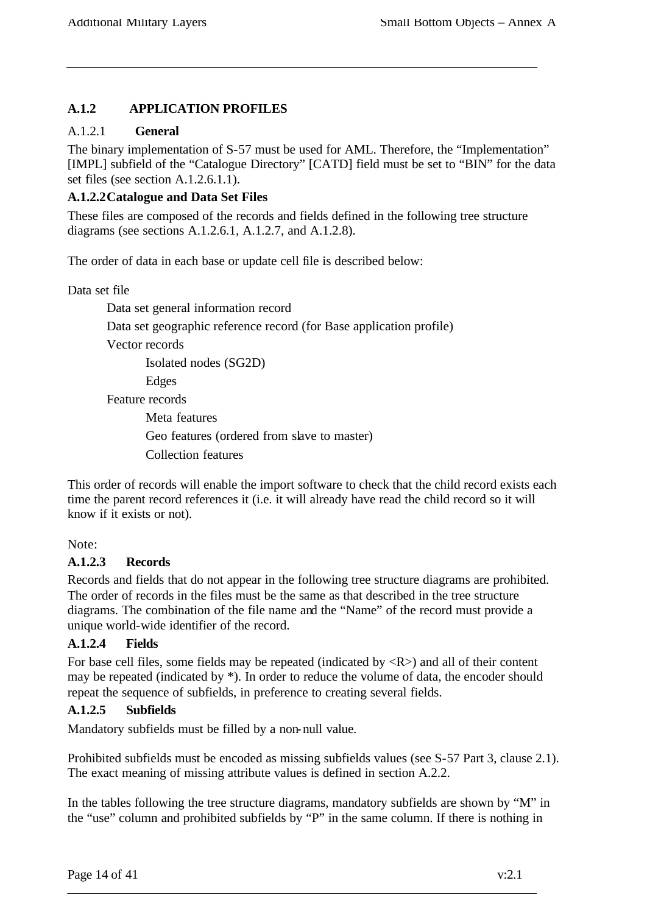## **A.1.2 APPLICATION PROFILES**

#### A.1.2.1 **General**

The binary implementation of S-57 must be used for AML. Therefore, the "Implementation" [IMPL] subfield of the "Catalogue Directory" [CATD] field must be set to "BIN" for the data set files (see section A.1.2.6.1.1).

#### **A.1.2.2Catalogue and Data Set Files**

These files are composed of the records and fields defined in the following tree structure diagrams (see sections A.1.2.6.1, A.1.2.7, and A.1.2.8).

The order of data in each base or update cell file is described below:

Data set file

Data set general information record

Data set geographic reference record (for Base application profile)

Vector records

Isolated nodes (SG2D)

Edges

Feature records

Meta features Geo features (ordered from slave to master) Collection features

This order of records will enable the import software to check that the child record exists each time the parent record references it (i.e. it will already have read the child record so it will know if it exists or not).

Note:

#### **A.1.2.3 Records**

Records and fields that do not appear in the following tree structure diagrams are prohibited. The order of records in the files must be the same as that described in the tree structure diagrams. The combination of the file name and the "Name" of the record must provide a unique world-wide identifier of the record.

#### **A.1.2.4 Fields**

For base cell files, some fields may be repeated (indicated by  $\langle R \rangle$ ) and all of their content may be repeated (indicated by \*). In order to reduce the volume of data, the encoder should repeat the sequence of subfields, in preference to creating several fields.

#### **A.1.2.5 Subfields**

Mandatory subfields must be filled by a non-null value.

Prohibited subfields must be encoded as missing subfields values (see S-57 Part 3, clause 2.1). The exact meaning of missing attribute values is defined in section A.2.2.

In the tables following the tree structure diagrams, mandatory subfields are shown by "M" in the "use" column and prohibited subfields by "P" in the same column. If there is nothing in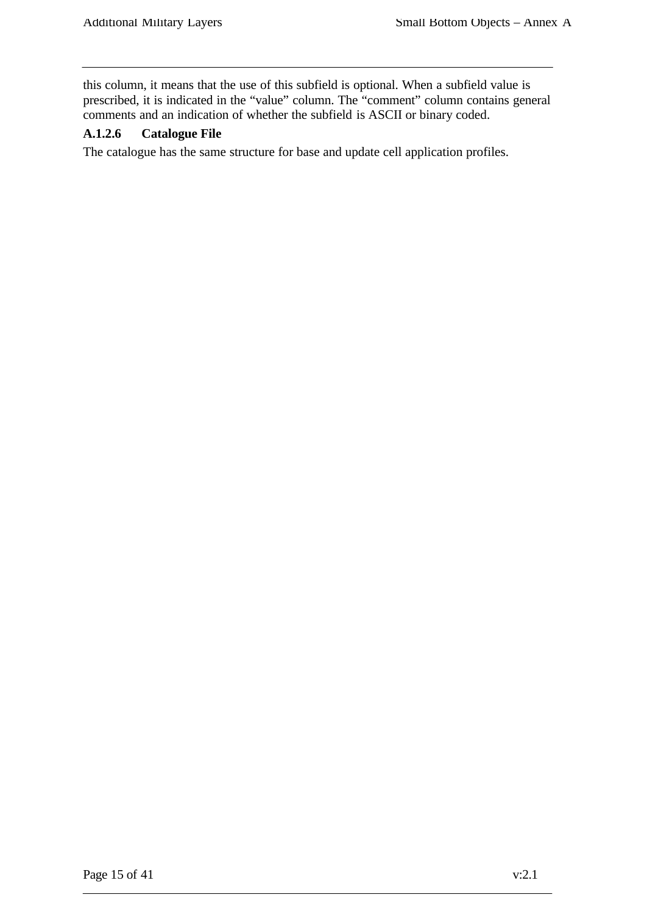this column, it means that the use of this subfield is optional. When a subfield value is prescribed, it is indicated in the "value" column. The "comment" column contains general comments and an indication of whether the subfield is ASCII or binary coded.

#### **A.1.2.6 Catalogue File**

The catalogue has the same structure for base and update cell application profiles.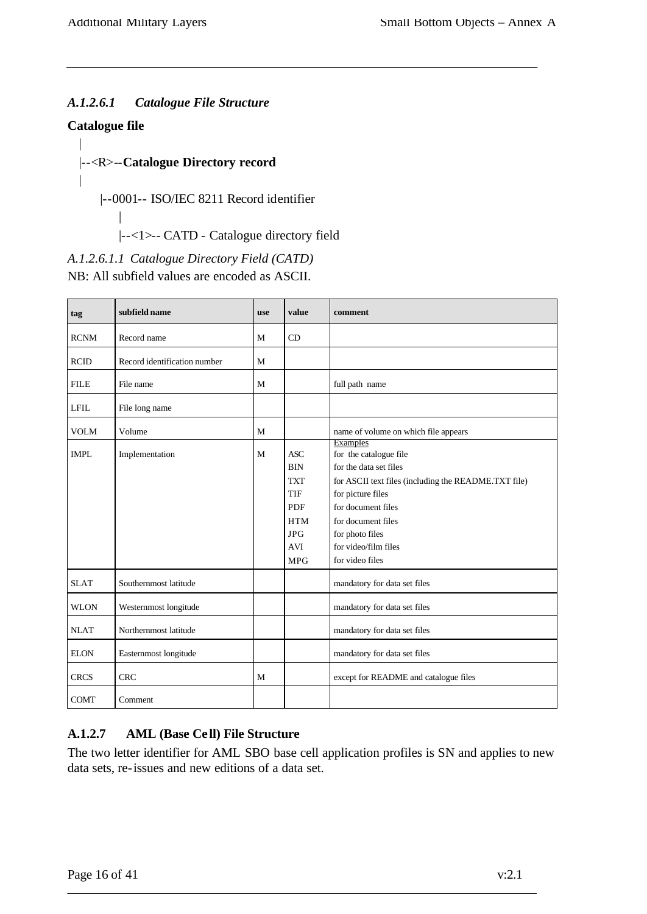#### *A.1.2.6.1 Catalogue File Structure*

#### **Catalogue file**

|

 $\overline{ }$ 

|

#### |--<R>--**Catalogue Directory record**

|--0001-- ISO/IEC 8211 Record identifier

|--<1>-- CATD - Catalogue directory field

*A.1.2.6.1.1 Catalogue Directory Field (CATD)*

NB: All subfield values are encoded as ASCII.

| tag         | subfield name                | <b>use</b> | value                                                                                                                                | comment                                                                                                                                                                                                                                                    |
|-------------|------------------------------|------------|--------------------------------------------------------------------------------------------------------------------------------------|------------------------------------------------------------------------------------------------------------------------------------------------------------------------------------------------------------------------------------------------------------|
| <b>RCNM</b> | Record name                  | M          | CD                                                                                                                                   |                                                                                                                                                                                                                                                            |
| RCID        | Record identification number | M          |                                                                                                                                      |                                                                                                                                                                                                                                                            |
| <b>FILE</b> | File name                    | M          |                                                                                                                                      | full path name                                                                                                                                                                                                                                             |
| <b>LFIL</b> | File long name               |            |                                                                                                                                      |                                                                                                                                                                                                                                                            |
| <b>VOLM</b> | Volume                       | M          |                                                                                                                                      | name of volume on which file appears                                                                                                                                                                                                                       |
| <b>IMPL</b> | Implementation               | M          | $\operatorname{ASC}$<br><b>BIN</b><br><b>TXT</b><br><b>TIF</b><br><b>PDF</b><br><b>HTM</b><br><b>JPG</b><br><b>AVI</b><br><b>MPG</b> | <b>Examples</b><br>for the catalogue file<br>for the data set files<br>for ASCII text files (including the README.TXT file)<br>for picture files<br>for document files<br>for document files<br>for photo files<br>for video/film files<br>for video files |
| <b>SLAT</b> | Southernmost latitude        |            |                                                                                                                                      | mandatory for data set files                                                                                                                                                                                                                               |
| <b>WLON</b> | Westernmost longitude        |            |                                                                                                                                      | mandatory for data set files                                                                                                                                                                                                                               |
| <b>NLAT</b> | Northernmost latitude        |            |                                                                                                                                      | mandatory for data set files                                                                                                                                                                                                                               |
| <b>ELON</b> | Easternmost longitude        |            |                                                                                                                                      | mandatory for data set files                                                                                                                                                                                                                               |
| <b>CRCS</b> | <b>CRC</b>                   | M          |                                                                                                                                      | except for README and catalogue files                                                                                                                                                                                                                      |
| <b>COMT</b> | Comment                      |            |                                                                                                                                      |                                                                                                                                                                                                                                                            |

#### **A.1.2.7 AML (Base Ce ll) File Structure**

The two letter identifier for AML SBO base cell application profiles is SN and applies to new data sets, re-issues and new editions of a data set.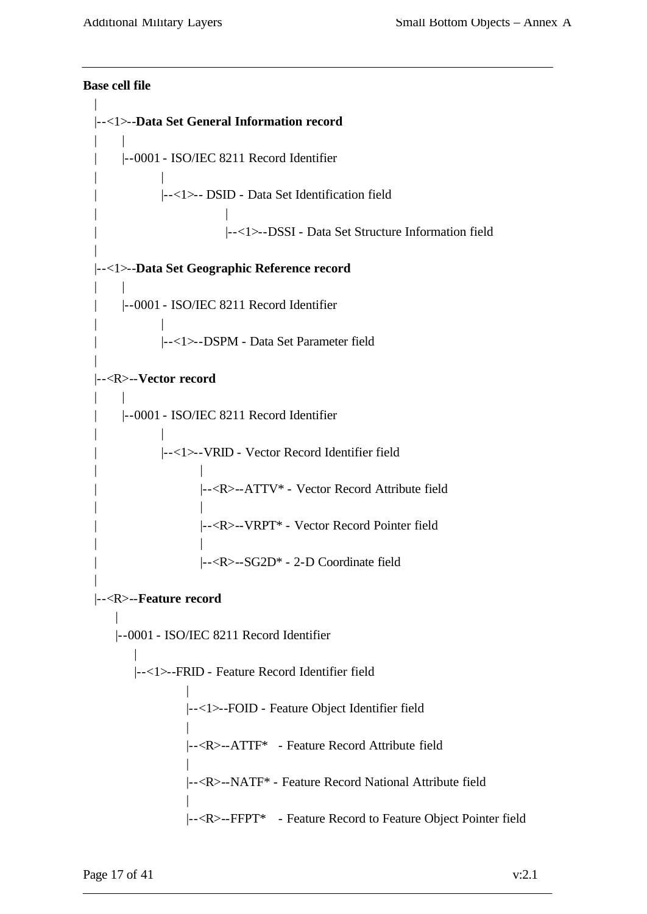```
Base cell file
| 
|--<1>--Data Set General Information record
| \cdot || |--0001 - ISO/IEC 8211 Record Identifier
| |
           | |--<1>-- DSID - Data Set Identification field
| |
                      | |--<1>--DSSI - Data Set Structure Information field
|
|--<1>--Data Set Geographic Reference record
\| \cdot \|| |--0001 - ISO/IEC 8211 Record Identifier
| |
           | |--<1>--DSPM - Data Set Parameter field
|
|--<R>--Vector record
    | |
    | |--0001 - ISO/IEC 8211 Record Identifier
| |
           | |--<1>--VRID - Vector Record Identifier field
| |
                  | |--<R>--ATTV* - Vector Record Attribute field
| |
                  | |--<R>--VRPT* - Vector Record Pointer field
| |
                  | |--<R>--SG2D* - 2-D Coordinate field
|
|--<R>--Feature record
    |
   |--0001 - ISO/IEC 8211 Record Identifier
       |
      |--<1>--FRID - Feature Record Identifier field
                |
                |--<1>--FOID - Feature Object Identifier field
                |
                |--<R>--ATTF* - Feature Record Attribute field
                |
                |--<R>--NATF* - Feature Record National Attribute field
                |
                |--<R>--FFPT* - Feature Record to Feature Object Pointer field
```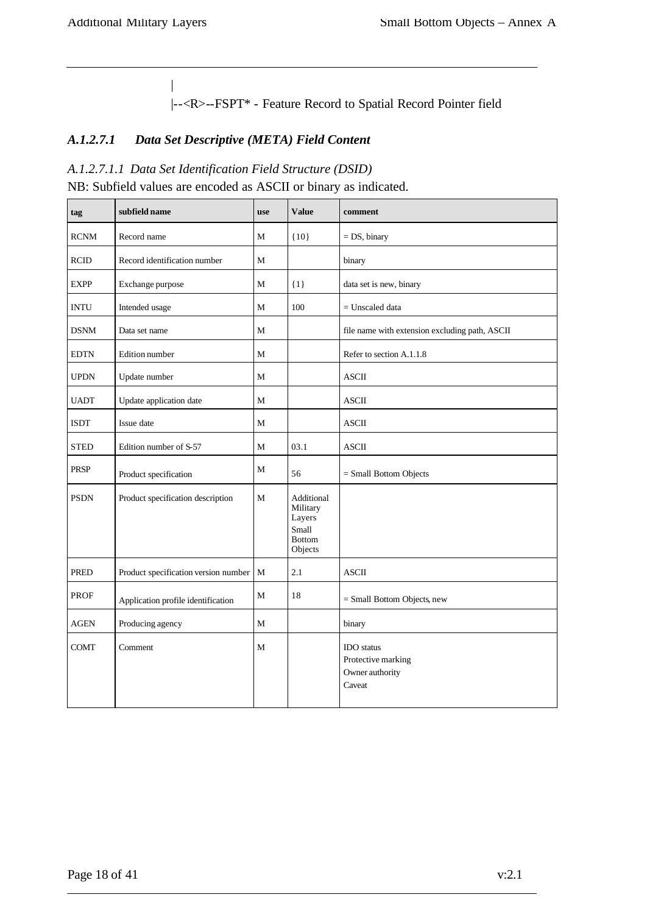|

 $\overline{\phantom{a}}$ 

|--<R>--FSPT\* - Feature Record to Spatial Record Pointer field

## *A.1.2.7.1 Data Set Descriptive (META) Field Content*

#### *A.1.2.7.1.1 Data Set Identification Field Structure (DSID)*

NB: Subfield values are encoded as ASCII or binary as indicated.

| tag         | subfield name                        | use          | <b>Value</b>                                                          | comment                                                              |
|-------------|--------------------------------------|--------------|-----------------------------------------------------------------------|----------------------------------------------------------------------|
| <b>RCNM</b> | Record name                          | М            | ${10}$                                                                | $= DS$ , binary                                                      |
| <b>RCID</b> | Record identification number         | М            |                                                                       | binary                                                               |
| <b>EXPP</b> | Exchange purpose                     | $\mathbf{M}$ | $\{1\}$                                                               | data set is new, binary                                              |
| <b>INTU</b> | Intended usage                       | M            | 100                                                                   | $=$ Unscaled data                                                    |
| <b>DSNM</b> | Data set name                        | M            |                                                                       | file name with extension excluding path, ASCII                       |
| <b>EDTN</b> | Edition number                       | M            |                                                                       | Refer to section A.1.1.8                                             |
| <b>UPDN</b> | Update number                        | M            |                                                                       | <b>ASCII</b>                                                         |
| <b>UADT</b> | Update application date              | М            |                                                                       | $\operatorname{ASCII}$                                               |
| <b>ISDT</b> | Issue date                           | M            |                                                                       | <b>ASCII</b>                                                         |
| <b>STED</b> | Edition number of S-57               | M            | 03.1                                                                  | <b>ASCII</b>                                                         |
| <b>PRSP</b> | Product specification                | M            | 56                                                                    | $=$ Small Bottom Objects                                             |
| <b>PSDN</b> | Product specification description    | M            | Additional<br>Military<br>Layers<br>Small<br><b>Bottom</b><br>Objects |                                                                      |
| <b>PRED</b> | Product specification version number | M            | 2.1                                                                   | <b>ASCII</b>                                                         |
| <b>PROF</b> | Application profile identification   | M            | 18                                                                    | $=$ Small Bottom Objects, new                                        |
| $\rm{AGEN}$ | Producing agency                     | M            |                                                                       | binary                                                               |
| <b>COMT</b> | Comment                              | М            |                                                                       | <b>IDO</b> status<br>Protective marking<br>Owner authority<br>Caveat |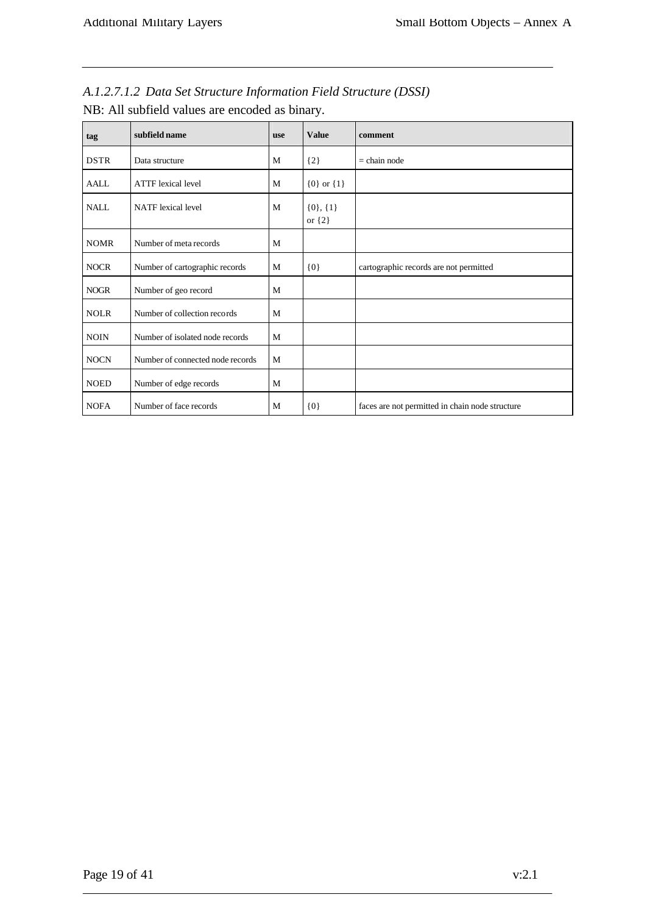| A.1.2.7.1.2 Data Set Structure Information Field Structure (DSSI) |  |
|-------------------------------------------------------------------|--|
|-------------------------------------------------------------------|--|

| tag         | subfield name                    | use | <b>Value</b>                 | comment                                         |
|-------------|----------------------------------|-----|------------------------------|-------------------------------------------------|
| <b>DSTR</b> | Data structure                   | M   | ${2}$                        | $=$ chain node                                  |
| <b>AALL</b> | <b>ATTF</b> lexical level        | M   | ${0}$ or ${1}$               |                                                 |
| <b>NALL</b> | <b>NATF</b> lexical level        | M   | $\{0\}, \{1\}$<br>or $\{2\}$ |                                                 |
| <b>NOMR</b> | Number of meta records           | M   |                              |                                                 |
| <b>NOCR</b> | Number of cartographic records   | M   | $\{0\}$                      | cartographic records are not permitted          |
| <b>NOGR</b> | Number of geo record             | M   |                              |                                                 |
| <b>NOLR</b> | Number of collection records     | M   |                              |                                                 |
| <b>NOIN</b> | Number of isolated node records  | M   |                              |                                                 |
| <b>NOCN</b> | Number of connected node records | M   |                              |                                                 |
| <b>NOED</b> | Number of edge records           | M   |                              |                                                 |
| <b>NOFA</b> | Number of face records           | M   | ${0}$                        | faces are not permitted in chain node structure |

NB: All subfield values are encoded as binary.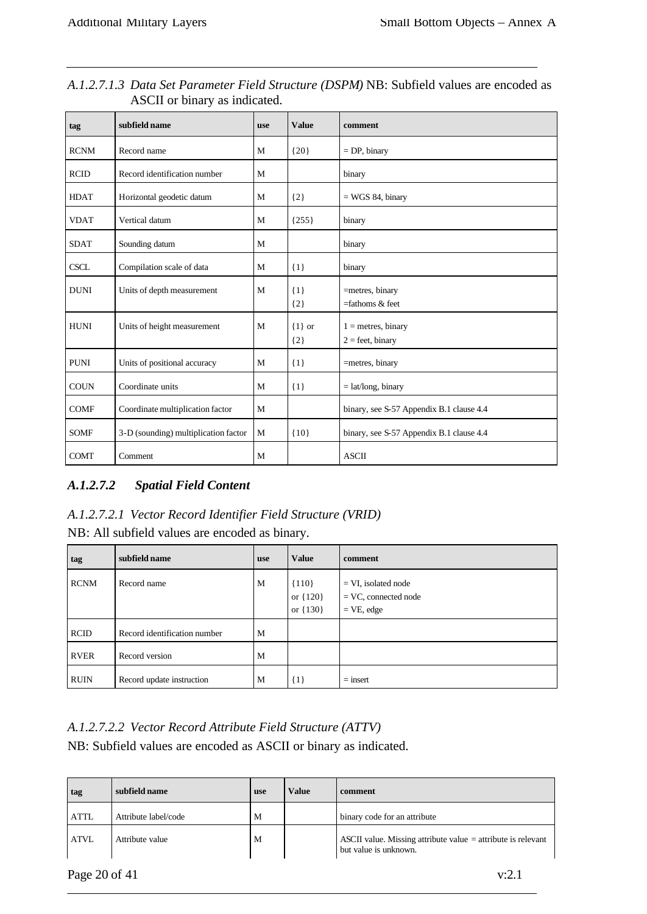| tag         | subfield name                        | <b>use</b> | <b>Value</b>        | comment                                    |
|-------------|--------------------------------------|------------|---------------------|--------------------------------------------|
| <b>RCNM</b> | Record name                          | M          | ${20}$              | $=$ DP, binary                             |
| <b>RCID</b> | Record identification number         | M          |                     | binary                                     |
| <b>HDAT</b> | Horizontal geodetic datum            | M          | ${2}$               | $=$ WGS 84, binary                         |
| <b>VDAT</b> | Vertical datum                       | M          | ${255}$             | binary                                     |
| <b>SDAT</b> | Sounding datum                       | M          |                     | binary                                     |
| <b>CSCL</b> | Compilation scale of data            | M          | $\{1\}$             | binary                                     |
| <b>DUNI</b> | Units of depth measurement           | M          | $\{1\}$<br>${2}$    | =metres, binary<br>$=$ fathoms $&$ feet    |
| <b>HUNI</b> | Units of height measurement          | M          | $\{1\}$ or<br>${2}$ | $1 =$ metres, binary<br>$2 =$ feet, binary |
| <b>PUNI</b> | Units of positional accuracy         | M          | $\{1\}$             | =metres, binary                            |
| <b>COUN</b> | Coordinate units                     | M          | $\{1\}$             | $=$ lat/long, binary                       |
| <b>COMF</b> | Coordinate multiplication factor     | M          |                     | binary, see S-57 Appendix B.1 clause 4.4   |
| <b>SOMF</b> | 3-D (sounding) multiplication factor | M          | ${10}$              | binary, see S-57 Appendix B.1 clause 4.4   |
| <b>COMT</b> | Comment                              | M          |                     | <b>ASCII</b>                               |

| A.1.2.7.1.3 Data Set Parameter Field Structure (DSPM) NB: Subfield values are encoded as |  |  |
|------------------------------------------------------------------------------------------|--|--|
| ASCII or binary as indicated.                                                            |  |  |

## *A.1.2.7.2 Spatial Field Content*

## *A.1.2.7.2.1 Vector Record Identifier Field Structure (VRID)*

NB: All subfield values are encoded as binary.

| tag         | subfield name                | <b>use</b> | <b>Value</b>                        | comment                                                          |
|-------------|------------------------------|------------|-------------------------------------|------------------------------------------------------------------|
| <b>RCNM</b> | Record name                  | M          | ${110}$<br>or ${120}$<br>or ${130}$ | $= VI$ , isolated node<br>$=$ VC, connected node<br>$=$ VE, edge |
| <b>RCID</b> | Record identification number | M          |                                     |                                                                  |
| <b>RVER</b> | Record version               | M          |                                     |                                                                  |
| <b>RUIN</b> | Record update instruction    | M          | $\{1\}$                             | $=$ insert                                                       |

#### *A.1.2.7.2.2 Vector Record Attribute Field Structure (ATTV)*

NB: Subfield values are encoded as ASCII or binary as indicated.

| tag         | subfield name        | <b>use</b> | <b>Value</b> | comment                                                                                 |
|-------------|----------------------|------------|--------------|-----------------------------------------------------------------------------------------|
| <b>ATTL</b> | Attribute label/code | М          |              | binary code for an attribute                                                            |
| <b>ATVL</b> | Attribute value      | M          |              | ASCII value. Missing attribute value $=$ attribute is relevant<br>but value is unknown. |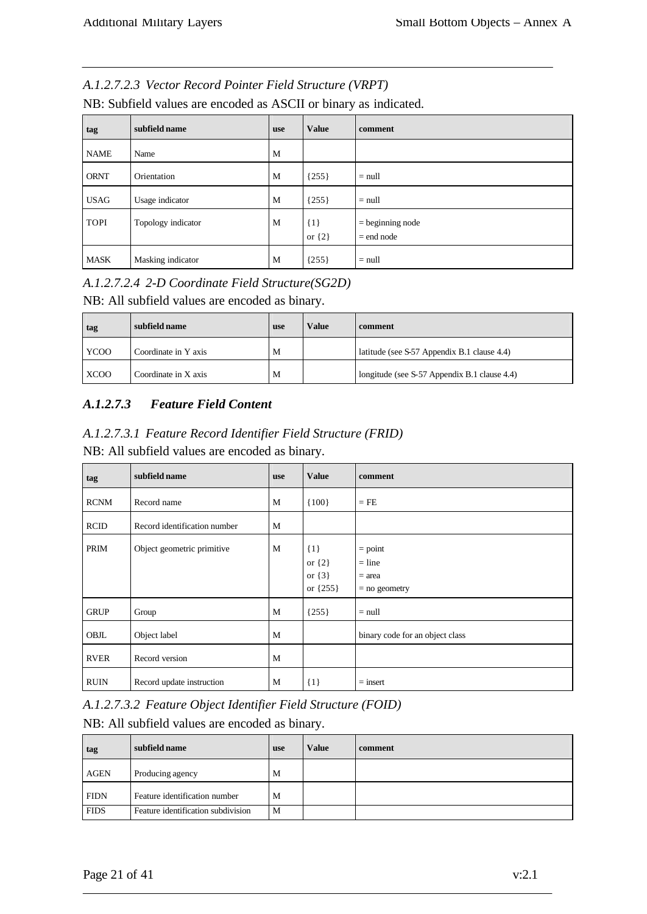#### *A.1.2.7.2.3 Vector Record Pointer Field Structure (VRPT)*

| NB: Subfield values are encoded as ASCII or binary as indicated. |  |  |  |
|------------------------------------------------------------------|--|--|--|
|------------------------------------------------------------------|--|--|--|

| tag         | subfield name      | <b>use</b> | <b>Value</b>        | comment                            |
|-------------|--------------------|------------|---------------------|------------------------------------|
| <b>NAME</b> | Name               | M          |                     |                                    |
| <b>ORNT</b> | Orientation        | M          | ${255}$             | $=$ null                           |
| <b>USAG</b> | Usage indicator    | M          | ${255}$             | $=$ null                           |
| <b>TOPI</b> | Topology indicator | M          | ${1}$<br>or $\{2\}$ | $=$ beginning node<br>$=$ end node |
| <b>MASK</b> | Masking indicator  | M          | ${255}$             | $=$ null                           |

*A.1.2.7.2.4 2-D Coordinate Field Structure(SG2D)*

NB: All subfield values are encoded as binary.

| tag         | subfield name        | <b>use</b> | Value | comment                                      |
|-------------|----------------------|------------|-------|----------------------------------------------|
| YCOO        | Coordinate in Y axis | M          |       | latitude (see S-57 Appendix B.1 clause 4.4)  |
| <b>XCOO</b> | Coordinate in X axis | M          |       | longitude (see S-57 Appendix B.1 clause 4.4) |

#### *A.1.2.7.3 Feature Field Content*

*A.1.2.7.3.1 Feature Record Identifier Field Structure (FRID)*

NB: All subfield values are encoded as binary.

| tag         | subfield name                | <b>use</b> | <b>Value</b>                                      | comment                                              |
|-------------|------------------------------|------------|---------------------------------------------------|------------------------------------------------------|
| <b>RCNM</b> | Record name                  | M          | ${100}$                                           | $=$ FE                                               |
| <b>RCID</b> | Record identification number | M          |                                                   |                                                      |
| PRIM        | Object geometric primitive   | M          | $\{1\}$<br>or $\{2\}$<br>or $\{3\}$<br>or ${255}$ | $=$ point<br>$=$ line<br>$=$ area<br>$=$ no geometry |
| <b>GRUP</b> | Group                        | M          | ${255}$                                           | $=$ null                                             |
| OBJL        | Object label                 | M          |                                                   | binary code for an object class                      |
| <b>RVER</b> | Record version               | M          |                                                   |                                                      |
| <b>RUIN</b> | Record update instruction    | M          | $\{1\}$                                           | $=$ insert                                           |

*A.1.2.7.3.2 Feature Object Identifier Field Structure (FOID)*

NB: All subfield values are encoded as binary.

| tag         | subfield name                      | <b>use</b> | Value | comment |
|-------------|------------------------------------|------------|-------|---------|
| <b>AGEN</b> | Producing agency                   | M          |       |         |
| <b>FIDN</b> | Feature identification number      | M          |       |         |
| <b>FIDS</b> | Feature identification subdivision | M          |       |         |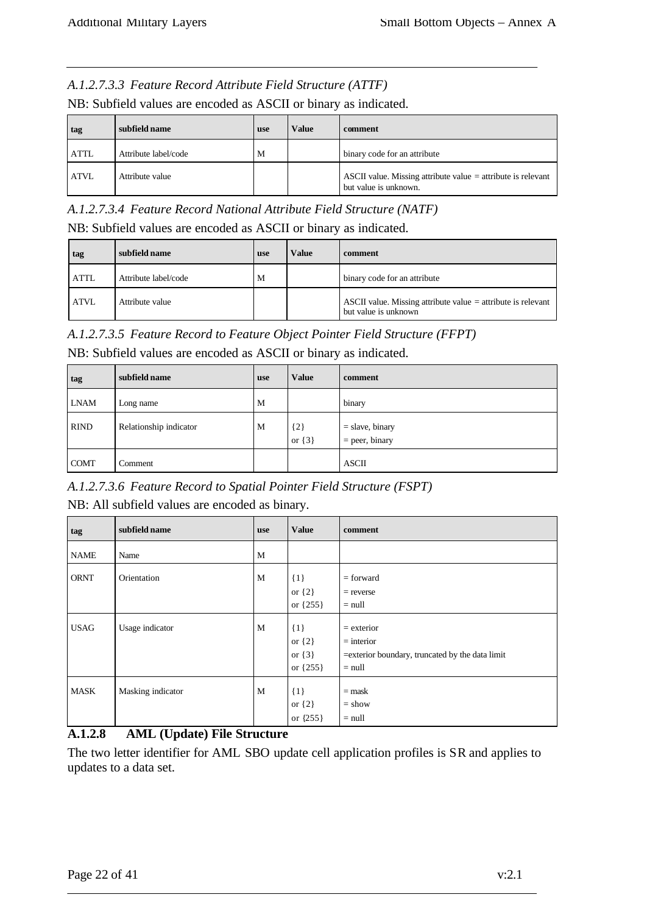#### *A.1.2.7.3.3 Feature Record Attribute Field Structure (ATTF)*

NB: Subfield values are encoded as ASCII or binary as indicated.

| tag         | subfield name        | <b>use</b> | Value | comment                                                                                 |
|-------------|----------------------|------------|-------|-----------------------------------------------------------------------------------------|
| <b>ATTL</b> | Attribute label/code | M          |       | binary code for an attribute                                                            |
| <b>ATVL</b> | Attribute value      |            |       | ASCII value. Missing attribute value $=$ attribute is relevant<br>but value is unknown. |

*A.1.2.7.3.4 Feature Record National Attribute Field Structure (NATF)*

NB: Subfield values are encoded as ASCII or binary as indicated.

| tag         | subfield name        | use | Value | comment                                                                                |
|-------------|----------------------|-----|-------|----------------------------------------------------------------------------------------|
| <b>ATTL</b> | Attribute label/code | M   |       | binary code for an attribute                                                           |
| <b>ATVL</b> | Attribute value      |     |       | ASCII value. Missing attribute value $=$ attribute is relevant<br>but value is unknown |

*A.1.2.7.3.5 Feature Record to Feature Object Pointer Field Structure (FFPT)*

NB: Subfield values are encoded as ASCII or binary as indicated.

| tag         | subfield name          | <b>use</b> | <b>Value</b>        | comment                               |
|-------------|------------------------|------------|---------------------|---------------------------------------|
| <b>LNAM</b> | Long name              | M          |                     | binary                                |
| <b>RIND</b> | Relationship indicator | M          | ${2}$<br>or $\{3\}$ | $=$ slave, binary<br>$=$ peer, binary |
| <b>COMT</b> | Comment                |            |                     | <b>ASCII</b>                          |

*A.1.2.7.3.6 Feature Record to Spatial Pointer Field Structure (FSPT)*

NB: All subfield values are encoded as binary.

| tag         | subfield name     | <b>use</b> | <b>Value</b>                                    | comment                                                                                      |
|-------------|-------------------|------------|-------------------------------------------------|----------------------------------------------------------------------------------------------|
| <b>NAME</b> | Name              | M          |                                                 |                                                                                              |
| <b>ORNT</b> | Orientation       | M          | $\{1\}$<br>or $\{2\}$<br>or ${255}$             | $=$ forward<br>$=$ reverse<br>$=$ null                                                       |
| <b>USAG</b> | Usage indicator   | M          | $\{1\}$<br>or $\{2\}$<br>or $\{3\}$<br>or {255} | $=$ exterior<br>$=$ interior<br>= exterior boundary, truncated by the data limit<br>$=$ null |
| <b>MASK</b> | Masking indicator | M          | $\{1\}$<br>or $\{2\}$<br>or {255}               | $=$ mask<br>$=$ show<br>$=$ null                                                             |

#### **A.1.2.8 AML (Update) File Structure**

The two letter identifier for AML SBO update cell application profiles is SR and applies to updates to a data set.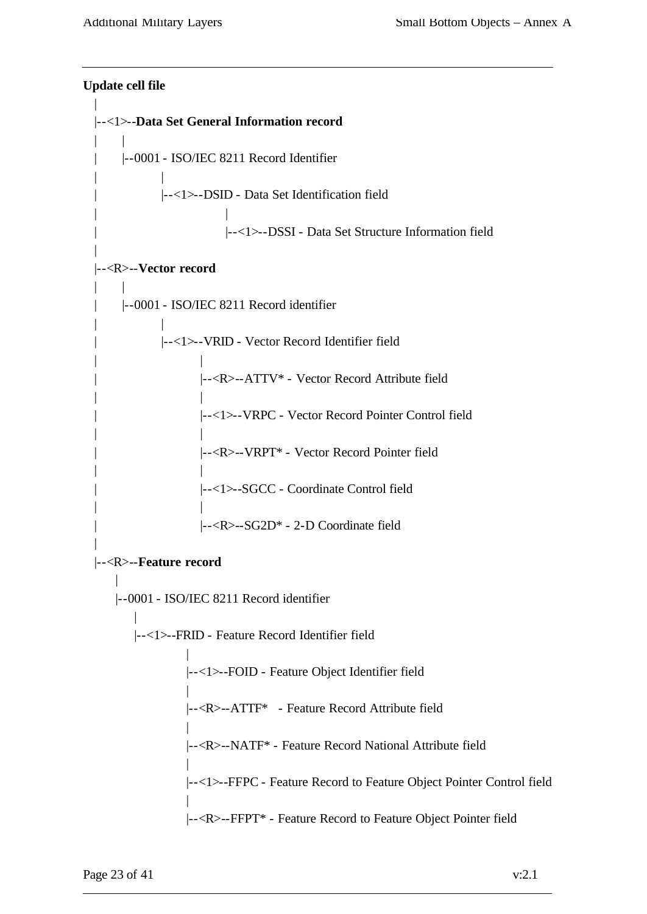```
Update cell file
|
|--<1>--Data Set General Information record
| \cdot || |--0001 - ISO/IEC 8211 Record Identifier
| |
           | |--<1>--DSID - Data Set Identification field
| |
                      | |--<1>--DSSI - Data Set Structure Information field
|
|--<R>--Vector record
\| \cdot \|| |--0001 - ISO/IEC 8211 Record identifier
| |
           | |--<1>--VRID - Vector Record Identifier field
| |
                  | |--<R>--ATTV* - Vector Record Attribute field
| |
                  | |--<1>--VRPC - Vector Record Pointer Control field
| |
                  | |--<R>--VRPT* - Vector Record Pointer field
| |
                  | |--<1>--SGCC - Coordinate Control field
| |
                  | |--<R>--SG2D* - 2-D Coordinate field
|
|--<R>--Feature record
   |
   |--0001 - ISO/IEC 8211 Record identifier
       |
      |--<1>--FRID - Feature Record Identifier field
                |
               |--<1>--FOID - Feature Object Identifier field
                |
               |--<R>--ATTF* - Feature Record Attribute field
                |
               |--<R>--NATF* - Feature Record National Attribute field
                |
               |--<1>--FFPC - Feature Record to Feature Object Pointer Control field
                |
               |--<R>--FFPT* - Feature Record to Feature Object Pointer field
```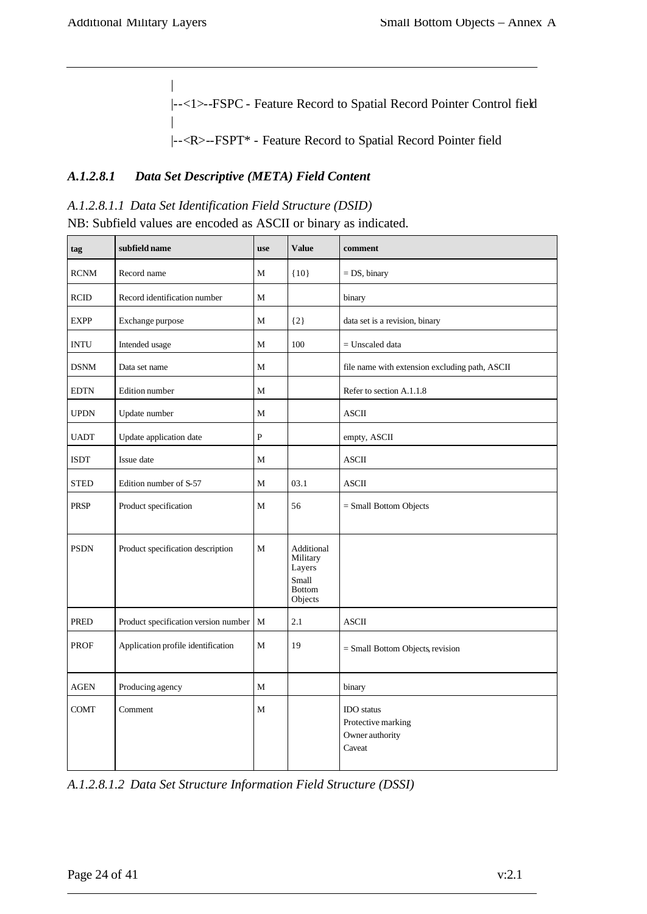|

|

 $\overline{1}$ 

|--<1>--FSPC - Feature Record to Spatial Record Pointer Control field

|--<R>--FSPT\* - Feature Record to Spatial Record Pointer field

#### *A.1.2.8.1 Data Set Descriptive (META) Field Content*

#### *A.1.2.8.1.1 Data Set Identification Field Structure (DSID)*

NB: Subfield values are encoded as ASCII or binary as indicated.

| tag         | subfield name                        | use          | <b>Value</b>                                                          | comment                                                              |
|-------------|--------------------------------------|--------------|-----------------------------------------------------------------------|----------------------------------------------------------------------|
| <b>RCNM</b> | Record name                          | M            | ${10}$                                                                | $= DS$ , binary                                                      |
| <b>RCID</b> | Record identification number         | M            |                                                                       | binary                                                               |
| <b>EXPP</b> | Exchange purpose                     | M            | $\{2\}$                                                               | data set is a revision, binary                                       |
| <b>INTU</b> | Intended usage                       | M            | 100                                                                   | $=$ Unscaled data                                                    |
| <b>DSNM</b> | Data set name                        | M            |                                                                       | file name with extension excluding path, ASCII                       |
| <b>EDTN</b> | Edition number                       | $\mathbf{M}$ |                                                                       | Refer to section A.1.1.8                                             |
| <b>UPDN</b> | Update number                        | M            |                                                                       | <b>ASCII</b>                                                         |
| <b>UADT</b> | Update application date              | $\mathbf{P}$ |                                                                       | empty, ASCII                                                         |
| <b>ISDT</b> | Issue date                           | M            |                                                                       | $\operatorname{ASCII}$                                               |
| <b>STED</b> | Edition number of S-57               | M            | 03.1                                                                  | <b>ASCII</b>                                                         |
| <b>PRSP</b> | Product specification                | M            | 56                                                                    | $=$ Small Bottom Objects                                             |
| <b>PSDN</b> | Product specification description    | M            | Additional<br>Military<br>Layers<br>Small<br><b>Bottom</b><br>Objects |                                                                      |
| PRED        | Product specification version number | $\mathbf{M}$ | 2.1                                                                   | $\boldsymbol{\mathsf{ASCII}}$                                        |
| <b>PROF</b> | Application profile identification   | M            | 19                                                                    | = Small Bottom Objects, revision                                     |
| <b>AGEN</b> | Producing agency                     | M            |                                                                       | binary                                                               |
| <b>COMT</b> | Comment                              | М            |                                                                       | <b>IDO</b> status<br>Protective marking<br>Owner authority<br>Caveat |

*A.1.2.8.1.2 Data Set Structure Information Field Structure (DSSI)*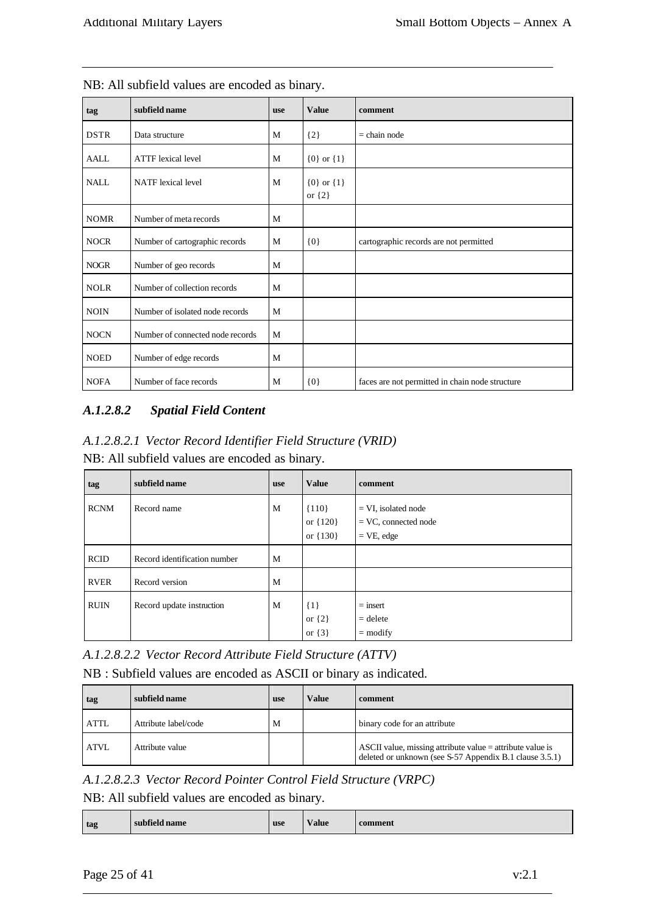| tag         | subfield name                    | <b>use</b> | <b>Value</b>                 | comment                                         |
|-------------|----------------------------------|------------|------------------------------|-------------------------------------------------|
| <b>DSTR</b> | Data structure                   | M          | ${2}$                        | $=$ chain node                                  |
| AALL        | <b>ATTF</b> lexical level        | M          | ${0}$ or ${1}$               |                                                 |
| <b>NALL</b> | <b>NATF</b> lexical level        | M          | ${0}$ or ${1}$<br>or $\{2\}$ |                                                 |
| <b>NOMR</b> | Number of meta records           | M          |                              |                                                 |
| <b>NOCR</b> | Number of cartographic records   | M          | ${0}$                        | cartographic records are not permitted          |
| <b>NOGR</b> | Number of geo records            | M          |                              |                                                 |
| <b>NOLR</b> | Number of collection records     | M          |                              |                                                 |
| <b>NOIN</b> | Number of isolated node records  | M          |                              |                                                 |
| <b>NOCN</b> | Number of connected node records | M          |                              |                                                 |
| <b>NOED</b> | Number of edge records           | M          |                              |                                                 |
| $\sf{NOFA}$ | Number of face records           | M          | ${0}$                        | faces are not permitted in chain node structure |

NB: All subfield values are encoded as binary.

## *A.1.2.8.2 Spatial Field Content*

*A.1.2.8.2.1 Vector Record Identifier Field Structure (VRID)* NB: All subfield values are encoded as binary.

| tag         | subfield name                | use | <b>Value</b>                          | comment                                                          |
|-------------|------------------------------|-----|---------------------------------------|------------------------------------------------------------------|
| <b>RCNM</b> | Record name                  | M   | ${110}$<br>or ${120}$<br>or $\{130\}$ | $= VI$ , isolated node<br>$=$ VC, connected node<br>$=$ VE, edge |
| <b>RCID</b> | Record identification number | M   |                                       |                                                                  |
| <b>RVER</b> | Record version               | M   |                                       |                                                                  |
| <b>RUIN</b> | Record update instruction    | M   | $\{1\}$<br>or $\{2\}$<br>or $\{3\}$   | $=$ insert<br>$=$ delete<br>$=$ modify                           |

*A.1.2.8.2.2 Vector Record Attribute Field Structure (ATTV)*

#### NB : Subfield values are encoded as ASCII or binary as indicated.

| tag          | subfield name        | <b>use</b> | Value | comment                                                                                                                |
|--------------|----------------------|------------|-------|------------------------------------------------------------------------------------------------------------------------|
| <b>ATTL</b>  | Attribute label/code | M          |       | binary code for an attribute                                                                                           |
| <b>LATVL</b> | Attribute value      |            |       | ASCII value, missing attribute value $=$ attribute value is<br>deleted or unknown (see S-57 Appendix B.1 clause 3.5.1) |

*A.1.2.8.2.3 Vector Record Pointer Control Field Structure (VRPC)*

NB: All subfield values are encoded as binary.

| Value<br>$1 - 60$<br>use<br>tag<br>subfield name | comment |
|--------------------------------------------------|---------|
|--------------------------------------------------|---------|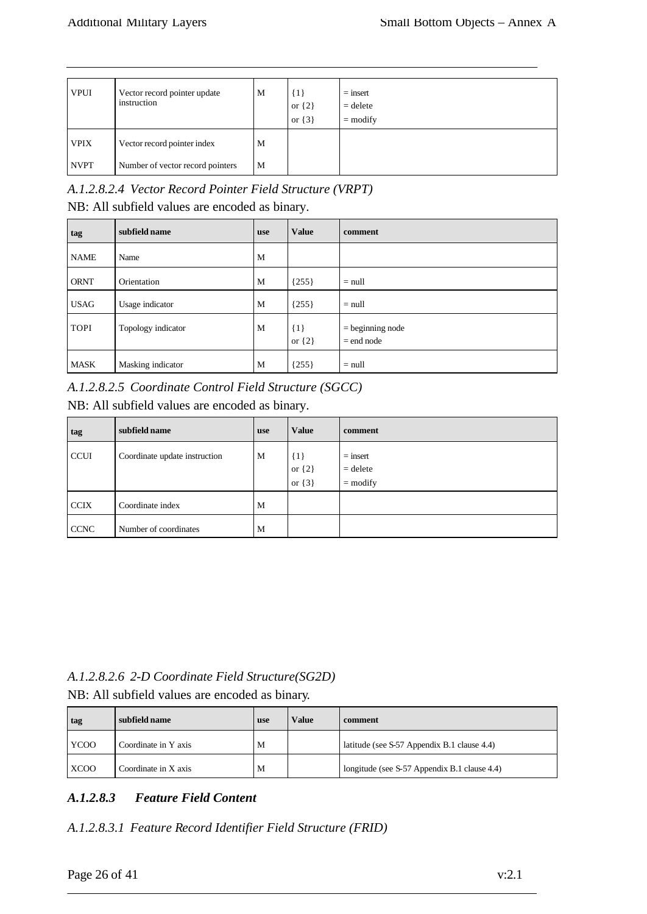| <b>VPUI</b> | Vector record pointer update<br>instruction | M | {1}<br>or $\{2\}$<br>or $\{3\}$ | $=$ insert<br>$=$ delete<br>$=$ modify |
|-------------|---------------------------------------------|---|---------------------------------|----------------------------------------|
| <b>VPIX</b> | Vector record pointer index                 | M |                                 |                                        |
| <b>NVPT</b> | Number of vector record pointers            | M |                                 |                                        |

*A.1.2.8.2.4 Vector Record Pointer Field Structure (VRPT)*

NB: All subfield values are encoded as binary.

| tag         | subfield name      | <b>use</b> | <b>Value</b>          | comment                            |
|-------------|--------------------|------------|-----------------------|------------------------------------|
| <b>NAME</b> | Name               | M          |                       |                                    |
| <b>ORNT</b> | Orientation        | M          | ${255}$               | $=$ null                           |
| <b>USAG</b> | Usage indicator    | M          | ${255}$               | $=$ null                           |
| <b>TOPI</b> | Topology indicator | M          | $\{1\}$<br>or $\{2\}$ | $=$ beginning node<br>$=$ end node |
| MASK        | Masking indicator  | M          | ${255}$               | $=$ null                           |

*A.1.2.8.2.5 Coordinate Control Field Structure (SGCC)*

NB: All subfield values are encoded as binary.

| tag         | subfield name                 | <b>use</b> | <b>Value</b>                        | comment                                |
|-------------|-------------------------------|------------|-------------------------------------|----------------------------------------|
| <b>CCUI</b> | Coordinate update instruction | M          | $\{1\}$<br>or $\{2\}$<br>or $\{3\}$ | $=$ insert<br>$=$ delete<br>$=$ modify |
| <b>CCIX</b> | Coordinate index              | M          |                                     |                                        |
| <b>CCNC</b> | Number of coordinates         | M          |                                     |                                        |

#### *A.1.2.8.2.6 2-D Coordinate Field Structure(SG2D)* NB: All subfield values are encoded as binary.

| TVD. All subficial values are encoused as billary. |  |  |  |  |
|----------------------------------------------------|--|--|--|--|
|                                                    |  |  |  |  |

| tag         | subfield name        | use | Value | comment                                      |
|-------------|----------------------|-----|-------|----------------------------------------------|
| <b>YCOO</b> | Coordinate in Y axis | M   |       | latitude (see S-57 Appendix B.1 clause 4.4)  |
| <b>XCOO</b> | Coordinate in X axis | M   |       | longitude (see S-57 Appendix B.1 clause 4.4) |

#### *A.1.2.8.3 Feature Field Content*

*A.1.2.8.3.1 Feature Record Identifier Field Structure (FRID)*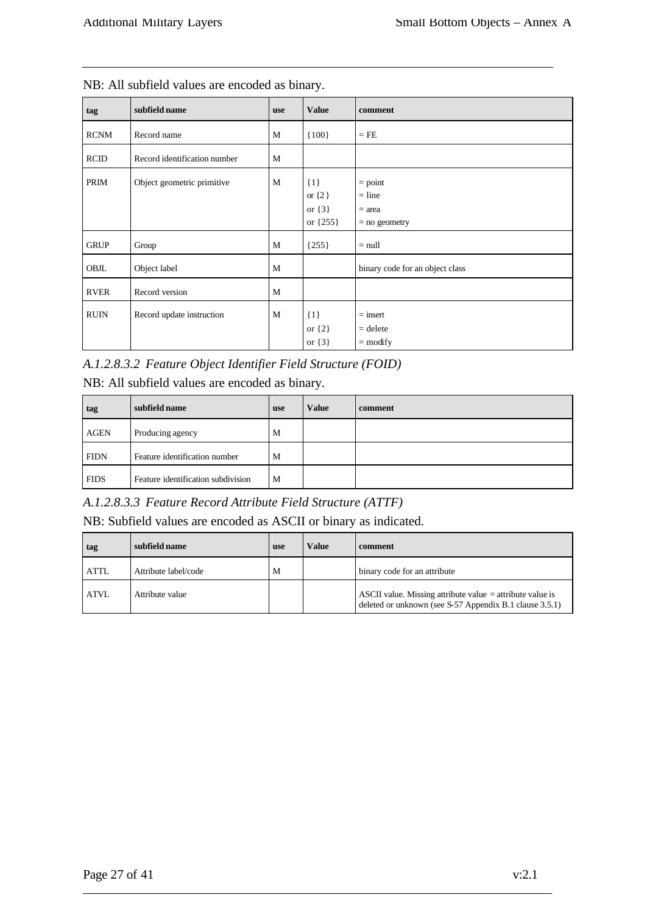| tag         | subfield name                | use | <b>Value</b>                                      | comment                                              |
|-------------|------------------------------|-----|---------------------------------------------------|------------------------------------------------------|
| <b>RCNM</b> | Record name                  | M   | ${100}$                                           | $=$ FE                                               |
| <b>RCID</b> | Record identification number | M   |                                                   |                                                      |
| PRIM        | Object geometric primitive   | M   | $\{1\}$<br>or $\{2\}$<br>or $\{3\}$<br>or ${255}$ | $=$ point<br>$=$ line<br>$=$ area<br>$=$ no geometry |
| <b>GRUP</b> | Group                        | M   | ${255}$                                           | $=$ null                                             |
| OBJL        | Object label                 | M   |                                                   | binary code for an object class                      |
| <b>RVER</b> | Record version               | M   |                                                   |                                                      |
| <b>RUIN</b> | Record update instruction    | M   | $\{1\}$<br>or $\{2\}$<br>or $\{3\}$               | $=$ insert<br>$=$ delete<br>$=$ modify               |

| NB: All subfield values are encoded as binary. |  |
|------------------------------------------------|--|
|------------------------------------------------|--|

*A.1.2.8.3.2 Feature Object Identifier Field Structure (FOID)* NB: All subfield values are encoded as binary.

| tag         | subfield name                      | <b>use</b> | Value | comment |
|-------------|------------------------------------|------------|-------|---------|
| <b>AGEN</b> | Producing agency                   | M          |       |         |
| <b>FIDN</b> | Feature identification number      | M          |       |         |
| <b>FIDS</b> | Feature identification subdivision | M          |       |         |

*A.1.2.8.3.3 Feature Record Attribute Field Structure (ATTF)*

NB: Subfield values are encoded as ASCII or binary as indicated.

| tag         | subfield name        | <b>use</b> | Value | comment                                                                                                                |
|-------------|----------------------|------------|-------|------------------------------------------------------------------------------------------------------------------------|
| <b>ATTL</b> | Attribute label/code | M          |       | binary code for an attribute                                                                                           |
| <b>ATVL</b> | Attribute value      |            |       | ASCII value. Missing attribute value $=$ attribute value is<br>deleted or unknown (see S-57 Appendix B.1 clause 3.5.1) |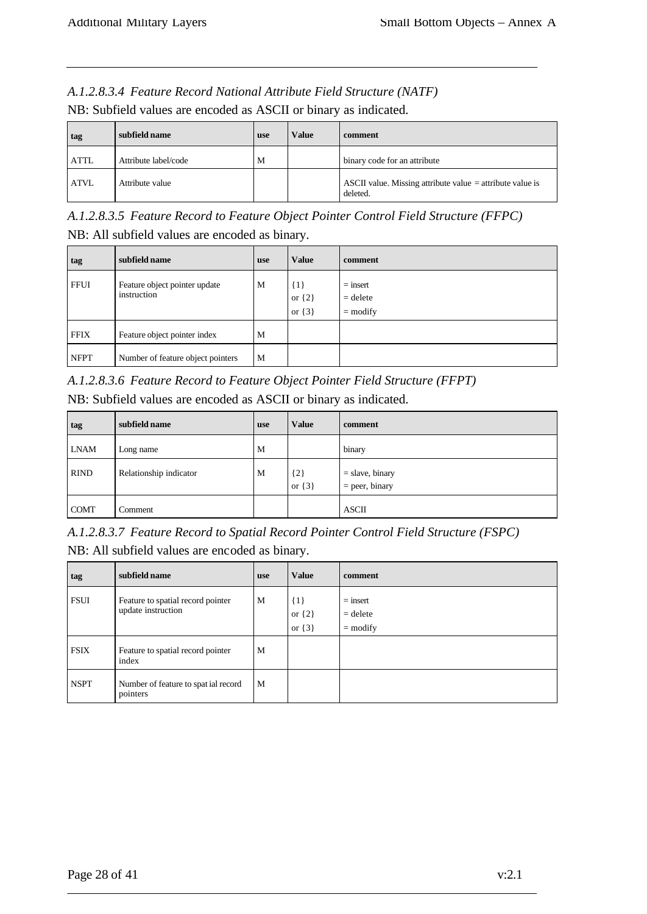# *A.1.2.8.3.4 Feature Record National Attribute Field Structure (NATF)*

| tag         | subfield name        | <b>use</b> | Value | comment                                                                 |
|-------------|----------------------|------------|-------|-------------------------------------------------------------------------|
| <b>ATTL</b> | Attribute label/code | M          |       | binary code for an attribute                                            |
| <b>ATVL</b> | Attribute value      |            |       | ASCII value. Missing attribute value $=$ attribute value is<br>deleted. |

NB: Subfield values are encoded as ASCII or binary as indicated.

*A.1.2.8.3.5 Feature Record to Feature Object Pointer Control Field Structure (FFPC)* NB: All subfield values are encoded as binary.

| tag         | subfield name                                | <b>use</b> | <b>Value</b>                        | comment                                |
|-------------|----------------------------------------------|------------|-------------------------------------|----------------------------------------|
| <b>FFUI</b> | Feature object pointer update<br>instruction | M          | $\{1\}$<br>or $\{2\}$<br>or $\{3\}$ | $=$ insert<br>$=$ delete<br>$=$ modify |
| <b>FFIX</b> | Feature object pointer index                 | M          |                                     |                                        |
| <b>NFPT</b> | Number of feature object pointers            | M          |                                     |                                        |

*A.1.2.8.3.6 Feature Record to Feature Object Pointer Field Structure (FFPT)*

NB: Subfield values are encoded as ASCII or binary as indicated.

| tag         | subfield name          | <b>use</b> | <b>Value</b>        | comment                               |
|-------------|------------------------|------------|---------------------|---------------------------------------|
| <b>LNAM</b> | Long name              | M          |                     | binary                                |
| <b>RIND</b> | Relationship indicator | M          | ${2}$<br>or $\{3\}$ | $=$ slave, binary<br>$=$ peer, binary |
| <b>COMT</b> | Comment                |            |                     | <b>ASCII</b>                          |

*A.1.2.8.3.7 Feature Record to Spatial Record Pointer Control Field Structure (FSPC)* NB: All subfield values are encoded as binary.

| tag         | subfield name                                           | <b>use</b> | <b>Value</b>                        | comment                                |
|-------------|---------------------------------------------------------|------------|-------------------------------------|----------------------------------------|
| <b>FSUI</b> | Feature to spatial record pointer<br>update instruction | M          | $\{1\}$<br>or $\{2\}$<br>or $\{3\}$ | $=$ insert<br>$=$ delete<br>$=$ modify |
| <b>FSIX</b> | Feature to spatial record pointer<br>index              | M          |                                     |                                        |
| <b>NSPT</b> | Number of feature to spat ial record<br>pointers        | M          |                                     |                                        |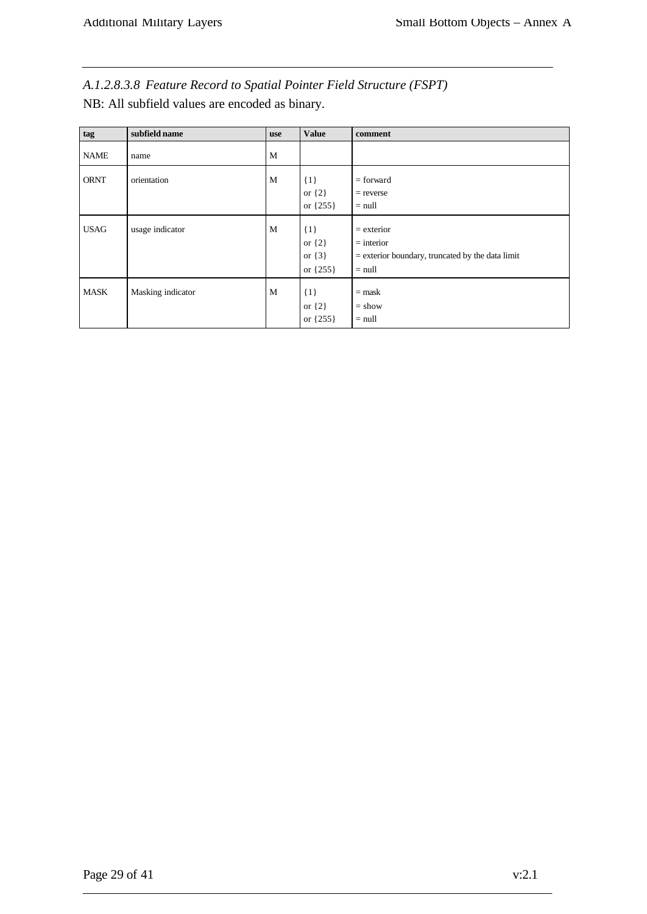*A.1.2.8.3.8 Feature Record to Spatial Pointer Field Structure (FSPT)* NB: All subfield values are encoded as binary.

| tag         | subfield name     | use | <b>Value</b>                                      | comment                                                                                        |
|-------------|-------------------|-----|---------------------------------------------------|------------------------------------------------------------------------------------------------|
| <b>NAME</b> | name              | M   |                                                   |                                                                                                |
| <b>ORNT</b> | orientation       | M   | $\{1\}$<br>or $\{2\}$<br>or ${255}$               | $=$ forward<br>$=$ reverse<br>$=$ null                                                         |
| <b>USAG</b> | usage indicator   | M   | $\{1\}$<br>or $\{2\}$<br>or $\{3\}$<br>or ${255}$ | $=$ exterior<br>$=$ interior<br>$=$ exterior boundary, truncated by the data limit<br>$=$ null |
| <b>MASK</b> | Masking indicator | M   | $\{1\}$<br>or $\{2\}$<br>or ${255}$               | $=$ mask<br>$=$ show<br>$=$ null                                                               |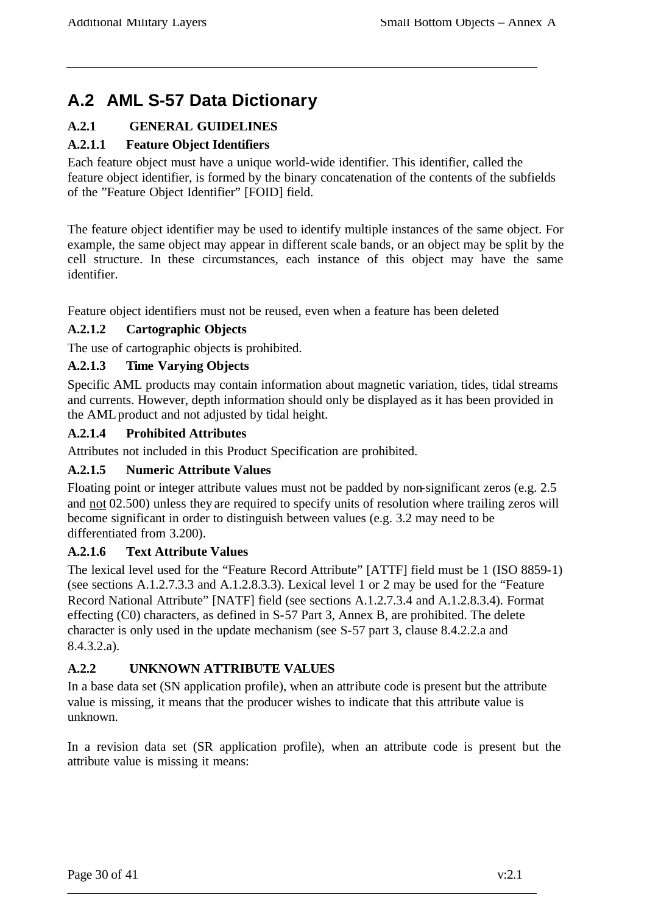# **A.2 AML S-57 Data Dictionary**

## **A.2.1 GENERAL GUIDELINES**

## **A.2.1.1 Feature Object Identifiers**

Each feature object must have a unique world-wide identifier. This identifier, called the feature object identifier, is formed by the binary concatenation of the contents of the subfields of the "Feature Object Identifier" [FOID] field.

The feature object identifier may be used to identify multiple instances of the same object. For example, the same object may appear in different scale bands, or an object may be split by the cell structure. In these circumstances, each instance of this object may have the same identifier.

Feature object identifiers must not be reused, even when a feature has been deleted

#### **A.2.1.2 Cartographic Objects**

The use of cartographic objects is prohibited.

#### **A.2.1.3 Time Varying Objects**

Specific AML products may contain information about magnetic variation, tides, tidal streams and currents. However, depth information should only be displayed as it has been provided in the AML product and not adjusted by tidal height.

#### **A.2.1.4 Prohibited Attributes**

Attributes not included in this Product Specification are prohibited.

#### **A.2.1.5 Numeric Attribute Values**

Floating point or integer attribute values must not be padded by non-significant zeros (e.g. 2.5 and not 02.500) unless they are required to specify units of resolution where trailing zeros will become significant in order to distinguish between values (e.g. 3.2 may need to be differentiated from 3.200).

#### **A.2.1.6 Text Attribute Values**

The lexical level used for the "Feature Record Attribute" [ATTF] field must be 1 (ISO 8859-1) (see sections A.1.2.7.3.3 and A.1.2.8.3.3). Lexical level 1 or 2 may be used for the "Feature Record National Attribute" [NATF] field (see sections A.1.2.7.3.4 and A.1.2.8.3.4). Format effecting (C0) characters, as defined in S-57 Part 3, Annex B, are prohibited. The delete character is only used in the update mechanism (see S-57 part 3, clause 8.4.2.2.a and 8.4.3.2.a).

#### **A.2.2 UNKNOWN ATTRIBUTE VALUES**

In a base data set (SN application profile), when an attribute code is present but the attribute value is missing, it means that the producer wishes to indicate that this attribute value is unknown.

In a revision data set (SR application profile), when an attribute code is present but the attribute value is missing it means: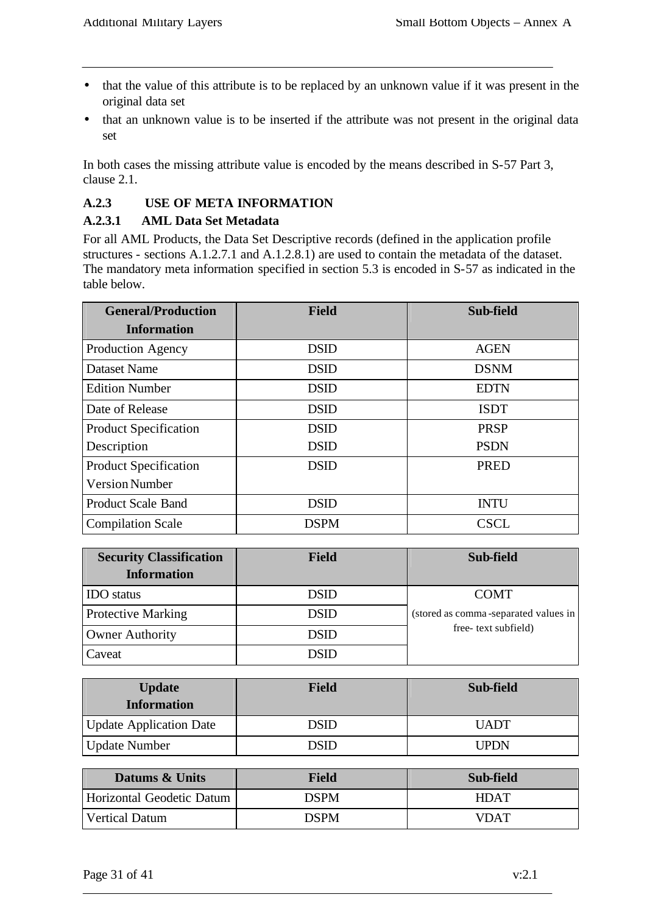- that the value of this attribute is to be replaced by an unknown value if it was present in the original data set
- that an unknown value is to be inserted if the attribute was not present in the original data set

In both cases the missing attribute value is encoded by the means described in S-57 Part 3, clause 2.1.

#### **A.2.3 USE OF META INFORMATION**

#### **A.2.3.1 AML Data Set Metadata**

For all AML Products, the Data Set Descriptive records (defined in the application profile structures - sections A.1.2.7.1 and A.1.2.8.1) are used to contain the metadata of the dataset. The mandatory meta information specified in section 5.3 is encoded in S-57 as indicated in the table below.

| <b>General/Production</b>    | <b>Field</b> | Sub-field   |
|------------------------------|--------------|-------------|
| <b>Information</b>           |              |             |
| <b>Production Agency</b>     | <b>DSID</b>  | <b>AGEN</b> |
| <b>Dataset Name</b>          | <b>DSID</b>  | <b>DSNM</b> |
| <b>Edition Number</b>        | <b>DSID</b>  | <b>EDTN</b> |
| Date of Release              | <b>DSID</b>  | <b>ISDT</b> |
| <b>Product Specification</b> | <b>DSID</b>  | <b>PRSP</b> |
| Description                  | <b>DSID</b>  | <b>PSDN</b> |
| <b>Product Specification</b> | <b>DSID</b>  | <b>PRED</b> |
| <b>Version Number</b>        |              |             |
| <b>Product Scale Band</b>    | <b>DSID</b>  | <b>INTU</b> |
| <b>Compilation Scale</b>     | <b>DSPM</b>  | <b>CSCL</b> |

| <b>Security Classification</b><br><b>Information</b> | <b>Field</b> | Sub-field                            |
|------------------------------------------------------|--------------|--------------------------------------|
| <b>IDO</b> status                                    | <b>DSID</b>  | <b>COMT</b>                          |
| <b>Protective Marking</b>                            | <b>DSID</b>  | (stored as comma-separated values in |
| <b>Owner Authority</b>                               | <b>DSID</b>  | free-text subfield)                  |
| Caveat                                               |              |                                      |

| <b>Update</b><br><b>Information</b> | <b>Field</b> | Sub-field   |
|-------------------------------------|--------------|-------------|
| <b>Update Application Date</b>      | DSID         | <b>UADT</b> |
| <b>Update Number</b>                | <b>NSID</b>  | <b>UPDN</b> |

| Datums & Units            | <b>Field</b> | Sub-field   |
|---------------------------|--------------|-------------|
| Horizontal Geodetic Datum | DSPM         | <b>HDAT</b> |
| Vertical Datum            | DSPM         | <b>VDAT</b> |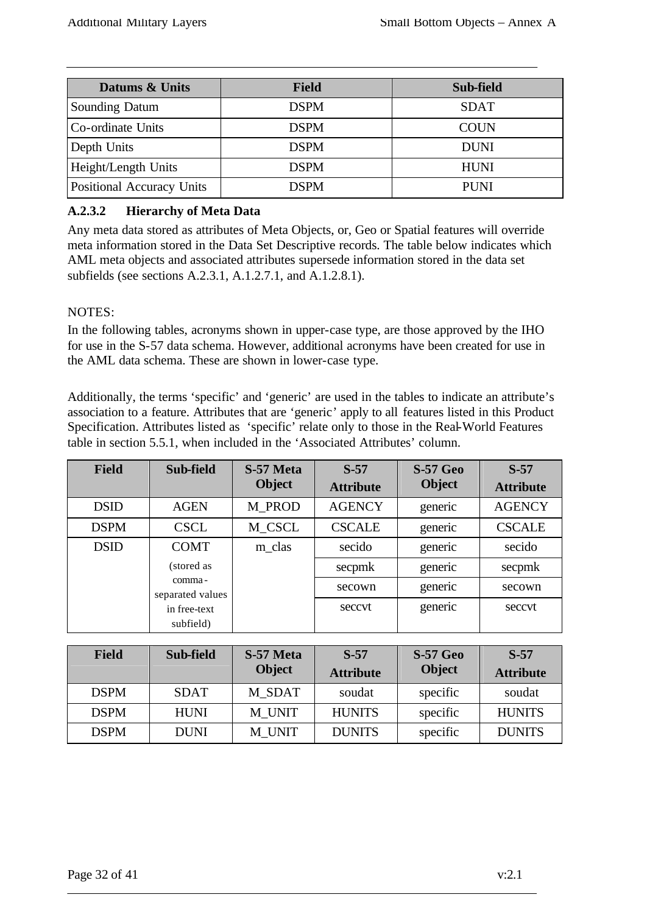| Datums & Units            | <b>Field</b> | Sub-field   |
|---------------------------|--------------|-------------|
| <b>Sounding Datum</b>     | <b>DSPM</b>  | <b>SDAT</b> |
| Co-ordinate Units         | <b>DSPM</b>  | <b>COUN</b> |
| Depth Units               | <b>DSPM</b>  | <b>DUNI</b> |
| Height/Length Units       | <b>DSPM</b>  | <b>HUNI</b> |
| Positional Accuracy Units | <b>DSPM</b>  | <b>PUNI</b> |

## **A.2.3.2 Hierarchy of Meta Data**

Any meta data stored as attributes of Meta Objects, or, Geo or Spatial features will override meta information stored in the Data Set Descriptive records. The table below indicates which AML meta objects and associated attributes supersede information stored in the data set subfields (see sections A.2.3.1, A.1.2.7.1, and A.1.2.8.1).

#### NOTES:

In the following tables, acronyms shown in upper-case type, are those approved by the IHO for use in the S-57 data schema. However, additional acronyms have been created for use in the AML data schema. These are shown in lower-case type.

Additionally, the terms 'specific' and 'generic' are used in the tables to indicate an attribute's association to a feature. Attributes that are 'generic' apply to all features listed in this Product Specification. Attributes listed as 'specific' relate only to those in the Real-World Features table in section 5.5.1, when included in the 'Associated Attributes' column.

| <b>Field</b> | Sub-field                  | S-57 Meta<br><b>Object</b> | $S-57$<br><b>Attribute</b> | <b>S-57 Geo</b><br><b>Object</b> | $S-57$<br><b>Attribute</b> |
|--------------|----------------------------|----------------------------|----------------------------|----------------------------------|----------------------------|
| <b>DSID</b>  | <b>AGEN</b>                | M PROD                     | <b>AGENCY</b>              | generic                          | <b>AGENCY</b>              |
| <b>DSPM</b>  | <b>CSCL</b>                | M_CSCL                     | <b>CSCALE</b>              | generic                          | <b>CSCALE</b>              |
| <b>DSID</b>  | <b>COMT</b>                | m_clas                     | secido                     | generic                          | secido                     |
|              | (stored as                 |                            | secpmk                     | generic                          | secpmk                     |
|              | comma-<br>separated values |                            | secown                     | generic                          | secown                     |
|              | in free-text<br>subfield)  |                            | seccyt                     | generic                          | seccyt                     |

| <b>Field</b> | Sub-field   | S-57 Meta<br><b>Object</b> | $S-57$<br><b>Attribute</b> | <b>S-57 Geo</b><br><b>Object</b> | $S-57$<br><b>Attribute</b> |
|--------------|-------------|----------------------------|----------------------------|----------------------------------|----------------------------|
| <b>DSPM</b>  | <b>SDAT</b> | M SDAT                     | soudat                     | specific                         | soudat                     |
| <b>DSPM</b>  | <b>HUNI</b> | M UNIT                     | <b>HUNITS</b>              | specific                         | <b>HUNITS</b>              |
| <b>DSPM</b>  | <b>DUNI</b> | M UNIT                     | <b>DUNITS</b>              | specific                         | <b>DUNITS</b>              |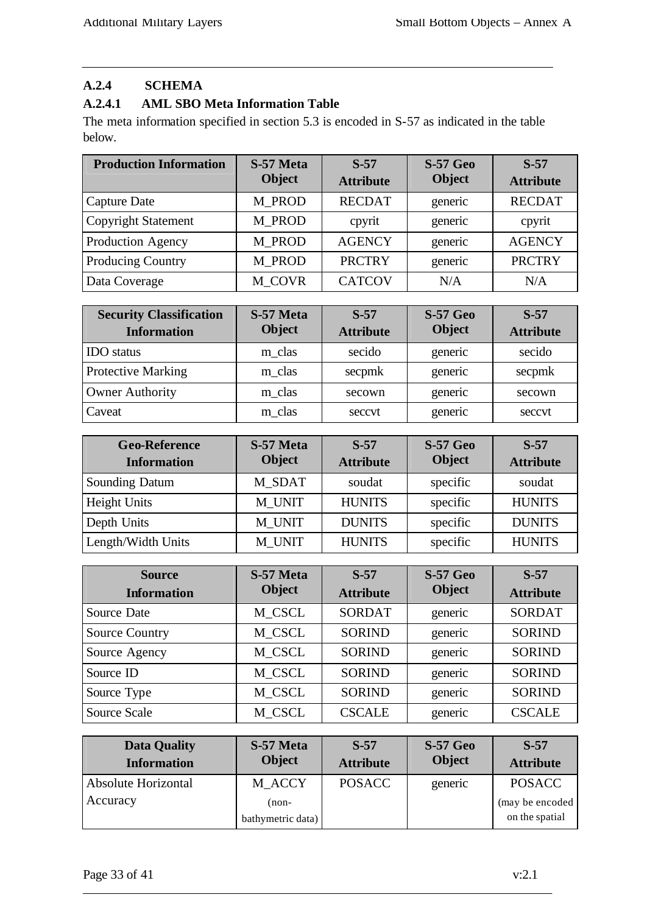## **A.2.4 SCHEMA**

## **A.2.4.1 AML SBO Meta Information Table**

The meta information specified in section 5.3 is encoded in S-57 as indicated in the table below.

| <b>Production Information</b> | S-57 Meta<br><b>Object</b> | $S-57$<br><b>Attribute</b> | <b>S-57 Geo</b><br><b>Object</b> | $S-57$<br><b>Attribute</b> |
|-------------------------------|----------------------------|----------------------------|----------------------------------|----------------------------|
| Capture Date                  | M PROD                     | <b>RECDAT</b>              | generic                          | <b>RECDAT</b>              |
| <b>Copyright Statement</b>    | M_PROD                     | cpyrit                     | generic                          | cpyrit                     |
| Production Agency             | M PROD                     | <b>AGENCY</b>              | generic                          | <b>AGENCY</b>              |
| Producing Country             | M_PROD                     | <b>PRCTRY</b>              | generic                          | <b>PRCTRY</b>              |
| Data Coverage                 | <b>M_COVR</b>              | <b>CATCOV</b>              | N/A                              | N/A                        |

| <b>Security Classification</b><br><b>Information</b> | S-57 Meta<br><b>Object</b> | $S-57$<br><b>Attribute</b> | <b>S-57 Geo</b><br><b>Object</b> | $S-57$<br><b>Attribute</b> |
|------------------------------------------------------|----------------------------|----------------------------|----------------------------------|----------------------------|
| <b>IDO</b> status                                    | m_clas                     | secido                     | generic                          | secido                     |
| <b>Protective Marking</b>                            | m_clas                     | secpmk                     | generic                          | secpmk                     |
| <b>Owner Authority</b>                               | m clas                     | secown                     | generic                          | secown                     |
| Caveat                                               | m_clas                     | seccvt                     | generic                          | seccvt                     |

| <b>Geo-Reference</b><br><b>Information</b> | S-57 Meta<br><b>Object</b> | $S-57$<br><b>Attribute</b> | <b>S-57 Geo</b><br><b>Object</b> | $S-57$<br><b>Attribute</b> |
|--------------------------------------------|----------------------------|----------------------------|----------------------------------|----------------------------|
| <b>Sounding Datum</b>                      | M SDAT                     | soudat                     | specific                         | soudat                     |
| Height Units                               | M UNIT                     | <b>HUNITS</b>              | specific                         | <b>HUNITS</b>              |
| Depth Units                                | M UNIT                     | <b>DUNITS</b>              | specific                         | <b>DUNITS</b>              |
| Length/Width Units                         | M UNIT                     | <b>HUNITS</b>              | specific                         | <b>HUNITS</b>              |

| <b>Source</b><br><b>Information</b> | S-57 Meta<br><b>Object</b> | $S-57$<br><b>Attribute</b> | <b>S-57 Geo</b><br><b>Object</b> | $S-57$<br><b>Attribute</b> |
|-------------------------------------|----------------------------|----------------------------|----------------------------------|----------------------------|
| Source Date                         | M CSCL                     | <b>SORDAT</b>              | generic                          | <b>SORDAT</b>              |
| <b>Source Country</b>               | M CSCL                     | <b>SORIND</b>              | generic                          | <b>SORIND</b>              |
| Source Agency                       | M CSCL                     | <b>SORIND</b>              | generic                          | <b>SORIND</b>              |
| Source ID                           | M CSCL                     | <b>SORIND</b>              | generic                          | <b>SORIND</b>              |
| Source Type                         | M CSCL                     | <b>SORIND</b>              | generic                          | <b>SORIND</b>              |
| <b>Source Scale</b>                 | M CSCL                     | <b>CSCALE</b>              | generic                          | <b>CSCALE</b>              |

| <b>Data Quality</b><br><b>Information</b> | S-57 Meta<br><b>Object</b> | $S-57$<br><b>Attribute</b> | <b>S-57 Geo</b><br><b>Object</b> | $S-57$<br><b>Attribute</b> |
|-------------------------------------------|----------------------------|----------------------------|----------------------------------|----------------------------|
| Absolute Horizontal                       | M_ACCY                     | <b>POSACC</b>              | generic                          | <b>POSACC</b>              |
| Accuracy                                  | (non-                      |                            |                                  | (may be encoded)           |
|                                           | bathymetric data)          |                            |                                  | on the spatial             |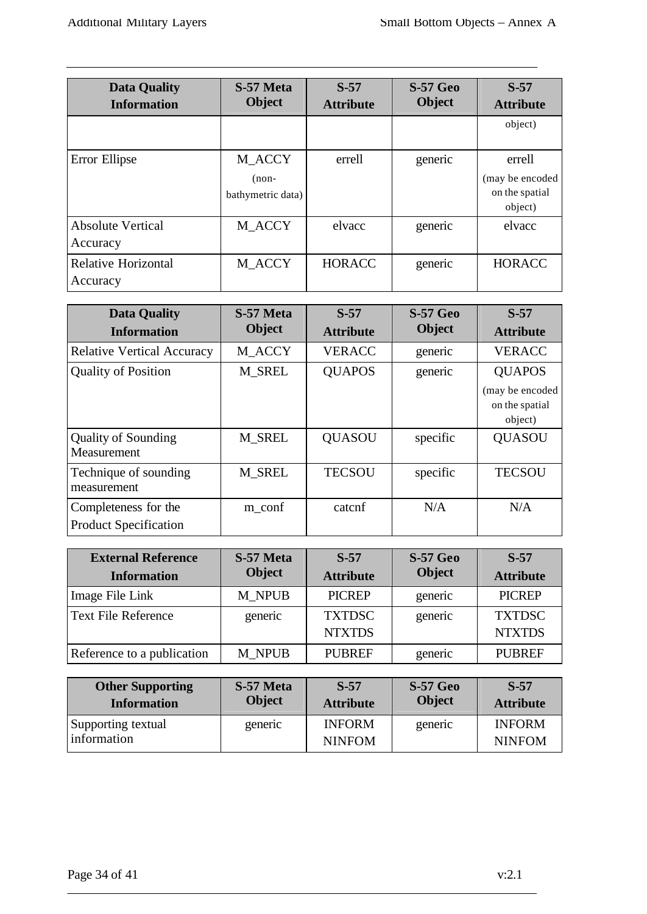| <b>Data Quality</b><br><b>Information</b> | S-57 Meta<br><b>Object</b>             | $S-57$<br><b>Attribute</b> | <b>S-57 Geo</b><br><b>Object</b> | $S-57$<br><b>Attribute</b>                              |
|-------------------------------------------|----------------------------------------|----------------------------|----------------------------------|---------------------------------------------------------|
|                                           |                                        |                            |                                  | object)                                                 |
| Error Ellipse                             | M_ACCY<br>$(non-$<br>bathymetric data) | errell                     | generic                          | errell<br>(may be encoded)<br>on the spatial<br>object) |
| <b>Absolute Vertical</b><br>Accuracy      | M_ACCY                                 | elvacc                     | generic                          | elvacc                                                  |
| <b>Relative Horizontal</b><br>Accuracy    | M ACCY                                 | <b>HORACC</b>              | generic                          | <b>HORACC</b>                                           |

| <b>Data Quality</b>               | S-57 Meta<br><b>Object</b> | $S-57$           | <b>S-57 Geo</b><br><b>Object</b> | $S-57$           |
|-----------------------------------|----------------------------|------------------|----------------------------------|------------------|
| <b>Information</b>                |                            | <b>Attribute</b> |                                  | <b>Attribute</b> |
| <b>Relative Vertical Accuracy</b> | M_ACCY                     | <b>VERACC</b>    | generic                          | <b>VERACC</b>    |
| <b>Quality of Position</b>        | M SREL                     | <b>QUAPOS</b>    | generic                          | <b>QUAPOS</b>    |
|                                   |                            |                  |                                  | (may be encoded  |
|                                   |                            |                  |                                  | on the spatial   |
|                                   |                            |                  |                                  | object)          |
| <b>Quality of Sounding</b>        | M SREL                     | <b>QUASOU</b>    | specific                         | <b>QUASOU</b>    |
| Measurement                       |                            |                  |                                  |                  |
| Technique of sounding             | M SREL                     | <b>TECSOU</b>    | specific                         | <b>TECSOU</b>    |
| measurement                       |                            |                  |                                  |                  |
| Completeness for the              | m_conf                     | catcnf           | N/A                              | N/A              |
| <b>Product Specification</b>      |                            |                  |                                  |                  |

| <b>External Reference</b><br><b>Information</b> | S-57 Meta<br><b>Object</b> | $S-57$<br><b>Attribute</b>     | <b>S-57 Geo</b><br><b>Object</b> | $S-57$<br><b>Attribute</b>     |
|-------------------------------------------------|----------------------------|--------------------------------|----------------------------------|--------------------------------|
| Image File Link                                 | M NPUB                     | <b>PICREP</b>                  | generic                          | <b>PICREP</b>                  |
| <b>Text File Reference</b>                      | generic                    | <b>TXTDSC</b><br><b>NTXTDS</b> | generic                          | <b>TXTDSC</b><br><b>NTXTDS</b> |
| Reference to a publication                      | M NPUB                     | <b>PUBREF</b>                  | generic                          | <b>PUBREF</b>                  |

| <b>Other Supporting</b>           | S-57 Meta     | $S-57$                         | <b>S-57 Geo</b> | $S-57$                         |
|-----------------------------------|---------------|--------------------------------|-----------------|--------------------------------|
| <b>Information</b>                | <b>Object</b> | <b>Attribute</b>               | <b>Object</b>   | <b>Attribute</b>               |
| Supporting textual<br>information | generic       | <b>INFORM</b><br><b>NINFOM</b> | generic         | <b>INFORM</b><br><b>NINFOM</b> |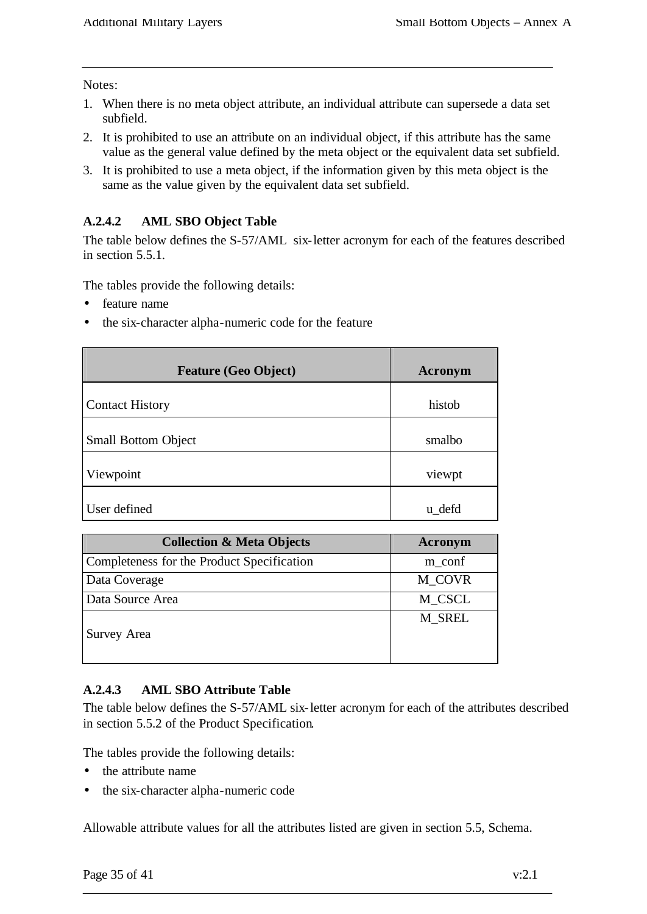#### Notes:

- 1. When there is no meta object attribute, an individual attribute can supersede a data set subfield.
- 2. It is prohibited to use an attribute on an individual object, if this attribute has the same value as the general value defined by the meta object or the equivalent data set subfield.
- 3. It is prohibited to use a meta object, if the information given by this meta object is the same as the value given by the equivalent data set subfield.

#### **A.2.4.2 AML SBO Object Table**

The table below defines the S-57/AML six-letter acronym for each of the features described in section 5.5.1.

The tables provide the following details:

- feature name
- the six-character alpha-numeric code for the feature

| <b>Feature (Geo Object)</b> | Acronym |
|-----------------------------|---------|
| <b>Contact History</b>      | histob  |
| <b>Small Bottom Object</b>  | smalbo  |
| Viewpoint                   | viewpt  |
| User defined                | u defd  |

| <b>Collection &amp; Meta Objects</b>       | Acronym |
|--------------------------------------------|---------|
| Completeness for the Product Specification | m_conf  |
| Data Coverage                              | M_COVR  |
| Data Source Area                           | M_CSCL  |
| Survey Area                                | M SREL  |

#### **A.2.4.3 AML SBO Attribute Table**

The table below defines the S-57/AML six-letter acronym for each of the attributes described in section 5.5.2 of the Product Specification.

The tables provide the following details:

- the attribute name
- the six-character alpha-numeric code

Allowable attribute values for all the attributes listed are given in section 5.5, Schema.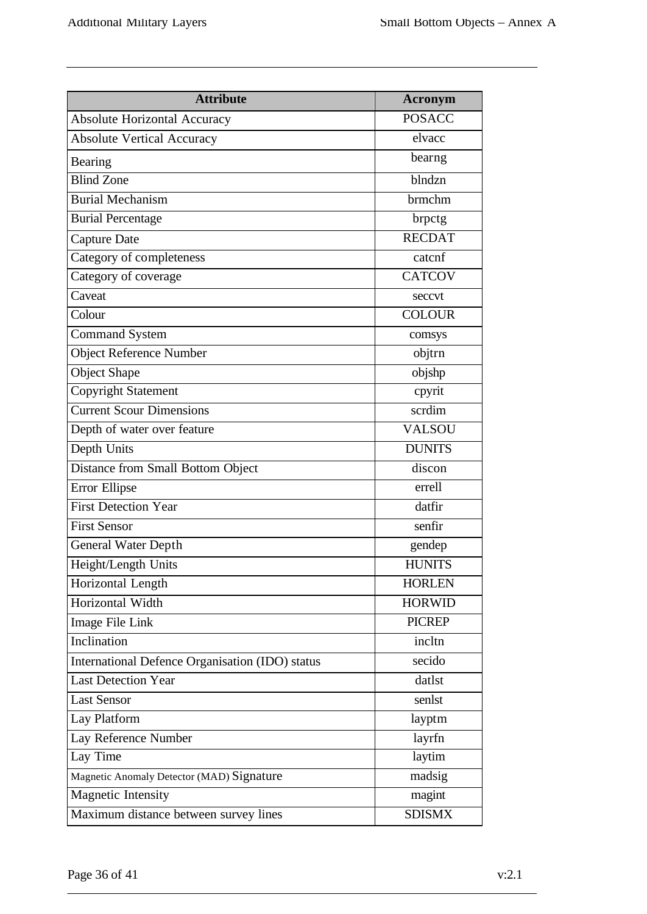| <b>Attribute</b>                                | <b>Acronym</b> |
|-------------------------------------------------|----------------|
| <b>Absolute Horizontal Accuracy</b>             | <b>POSACC</b>  |
| <b>Absolute Vertical Accuracy</b>               | elvacc         |
| Bearing                                         | bearng         |
| <b>Blind Zone</b>                               | blndzn         |
| <b>Burial Mechanism</b>                         | brmchm         |
| <b>Burial Percentage</b>                        | brpctg         |
| <b>Capture Date</b>                             | <b>RECDAT</b>  |
| Category of completeness                        | catcnf         |
| Category of coverage                            | <b>CATCOV</b>  |
| Caveat                                          | seccvt         |
| Colour                                          | <b>COLOUR</b>  |
| <b>Command System</b>                           | comsys         |
| <b>Object Reference Number</b>                  | objtrn         |
| <b>Object Shape</b>                             | objshp         |
| <b>Copyright Statement</b>                      | cpyrit         |
| <b>Current Scour Dimensions</b>                 | scrdim         |
| Depth of water over feature                     | <b>VALSOU</b>  |
| Depth Units                                     | <b>DUNITS</b>  |
| Distance from Small Bottom Object               | discon         |
| Error Ellipse                                   | errell         |
| <b>First Detection Year</b>                     | datfir         |
| <b>First Sensor</b>                             | senfir         |
| <b>General Water Depth</b>                      | gendep         |
| Height/Length Units                             | <b>HUNITS</b>  |
| Horizontal Length                               | <b>HORLEN</b>  |
| Horizontal Width                                | <b>HORWID</b>  |
| Image File Link                                 | <b>PICREP</b>  |
| Inclination                                     | incltn         |
| International Defence Organisation (IDO) status | secido         |
| <b>Last Detection Year</b>                      | datlst         |
| <b>Last Sensor</b>                              | senlst         |
| Lay Platform                                    | layptm         |
| Lay Reference Number                            | layrfn         |
| Lay Time                                        | laytim         |
| Magnetic Anomaly Detector (MAD) Signature       | madsig         |
| <b>Magnetic Intensity</b>                       | magint         |
| Maximum distance between survey lines           | <b>SDISMX</b>  |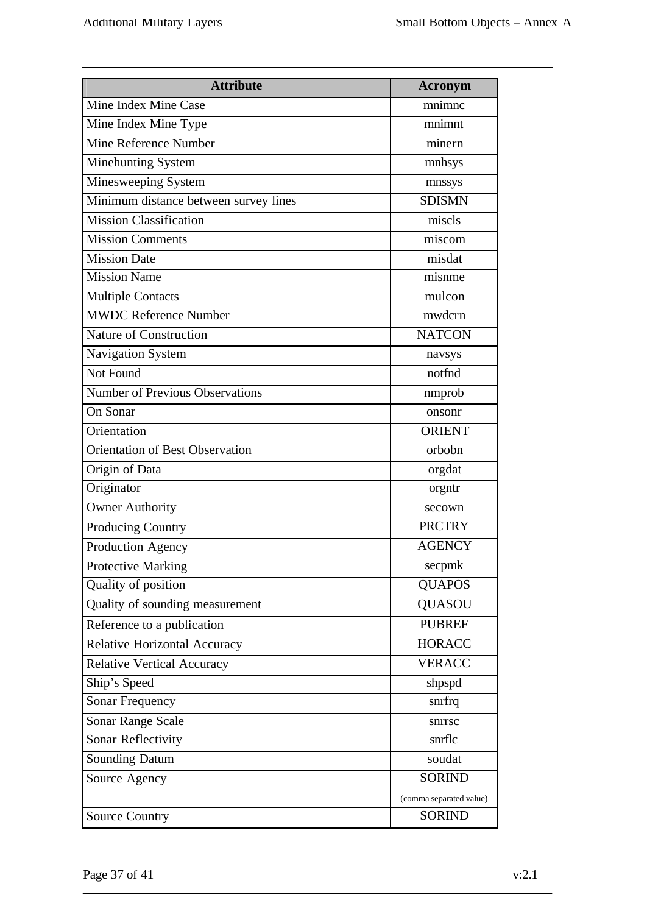| <b>Attribute</b>                       | <b>Acronym</b>          |
|----------------------------------------|-------------------------|
| Mine Index Mine Case                   | mnimnc                  |
| Mine Index Mine Type                   | mnimnt                  |
| <b>Mine Reference Number</b>           | minern                  |
| Minehunting System                     | mnhsys                  |
| Minesweeping System                    | mnssys                  |
| Minimum distance between survey lines  | <b>SDISMN</b>           |
| <b>Mission Classification</b>          | miscls                  |
| <b>Mission Comments</b>                | miscom                  |
| <b>Mission Date</b>                    | misdat                  |
| <b>Mission Name</b>                    | misnme                  |
| <b>Multiple Contacts</b>               | mulcon                  |
| <b>MWDC Reference Number</b>           | mwdcrn                  |
| <b>Nature of Construction</b>          | <b>NATCON</b>           |
| Navigation System                      | navsys                  |
| Not Found                              | notfnd                  |
| <b>Number of Previous Observations</b> | nmprob                  |
| On Sonar                               | onsonr                  |
| Orientation                            | <b>ORIENT</b>           |
| <b>Orientation of Best Observation</b> | orbobn                  |
| Origin of Data                         | orgdat                  |
| Originator                             | orgntr                  |
| <b>Owner Authority</b>                 | secown                  |
| Producing Country                      | <b>PRCTRY</b>           |
| Production Agency                      | <b>AGENCY</b>           |
| <b>Protective Marking</b>              | secpmk                  |
| Quality of position                    | <b>QUAPOS</b>           |
| Quality of sounding measurement        | <b>QUASOU</b>           |
| Reference to a publication             | <b>PUBREF</b>           |
| <b>Relative Horizontal Accuracy</b>    | <b>HORACC</b>           |
| <b>Relative Vertical Accuracy</b>      | <b>VERACC</b>           |
| Ship's Speed                           | shpspd                  |
| <b>Sonar Frequency</b>                 | snrfrq                  |
| Sonar Range Scale                      | snrrsc                  |
| Sonar Reflectivity                     | snrflc                  |
| Sounding Datum                         | soudat                  |
| Source Agency                          | <b>SORIND</b>           |
|                                        | (comma separated value) |
| <b>Source Country</b>                  | <b>SORIND</b>           |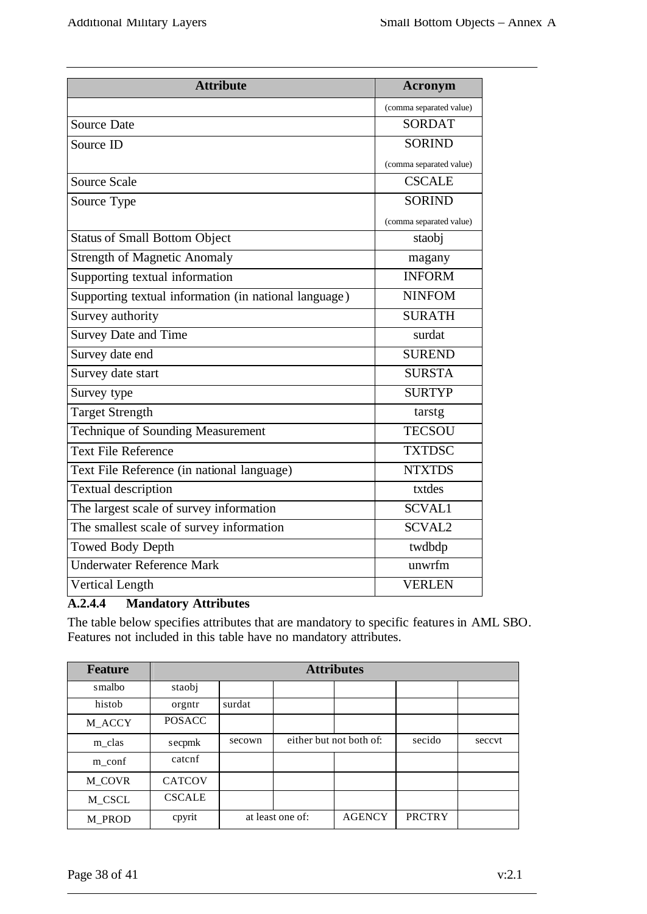| <b>Attribute</b>                                      | Acronym                 |
|-------------------------------------------------------|-------------------------|
|                                                       | (comma separated value) |
| <b>Source Date</b>                                    | <b>SORDAT</b>           |
| Source ID                                             | <b>SORIND</b>           |
|                                                       | (comma separated value) |
| <b>Source Scale</b>                                   | <b>CSCALE</b>           |
| Source Type                                           | <b>SORIND</b>           |
|                                                       | (comma separated value) |
| <b>Status of Small Bottom Object</b>                  | staobj                  |
| <b>Strength of Magnetic Anomaly</b>                   | magany                  |
| Supporting textual information                        | <b>INFORM</b>           |
| Supporting textual information (in national language) | <b>NINFOM</b>           |
| Survey authority                                      | <b>SURATH</b>           |
| <b>Survey Date and Time</b>                           | surdat                  |
| Survey date end                                       | <b>SUREND</b>           |
| Survey date start                                     | <b>SURSTA</b>           |
| Survey type                                           | <b>SURTYP</b>           |
| <b>Target Strength</b>                                | tarstg                  |
| Technique of Sounding Measurement                     | <b>TECSOU</b>           |
| <b>Text File Reference</b>                            | <b>TXTDSC</b>           |
| Text File Reference (in national language)            | <b>NTXTDS</b>           |
| <b>Textual description</b>                            | txtdes                  |
| The largest scale of survey information               | <b>SCVAL1</b>           |
| The smallest scale of survey information              | <b>SCVAL2</b>           |
| <b>Towed Body Depth</b>                               | twdbdp                  |
| <b>Underwater Reference Mark</b>                      | unwrfm                  |
| <b>Vertical Length</b>                                | <b>VERLEN</b>           |

## **A.2.4.4 Mandatory Attributes**

The table below specifies attributes that are mandatory to specific features in AML SBO. Features not included in this table have no mandatory attributes.

| <b>Feature</b>    | <b>Attributes</b> |        |                         |               |               |        |
|-------------------|-------------------|--------|-------------------------|---------------|---------------|--------|
| smalbo            | staobj            |        |                         |               |               |        |
| histob            | orgntr            | surdat |                         |               |               |        |
| M_ACCY            | <b>POSACC</b>     |        |                         |               |               |        |
| m_clas            | secpmk            | secown | either but not both of: |               | secido        | seccvt |
| $m_{\text{conf}}$ | catcnf            |        |                         |               |               |        |
| M_COVR            | <b>CATCOV</b>     |        |                         |               |               |        |
| M_CSCL            | <b>CSCALE</b>     |        |                         |               |               |        |
| M_PROD            | cpyrit            |        | at least one of:        | <b>AGENCY</b> | <b>PRCTRY</b> |        |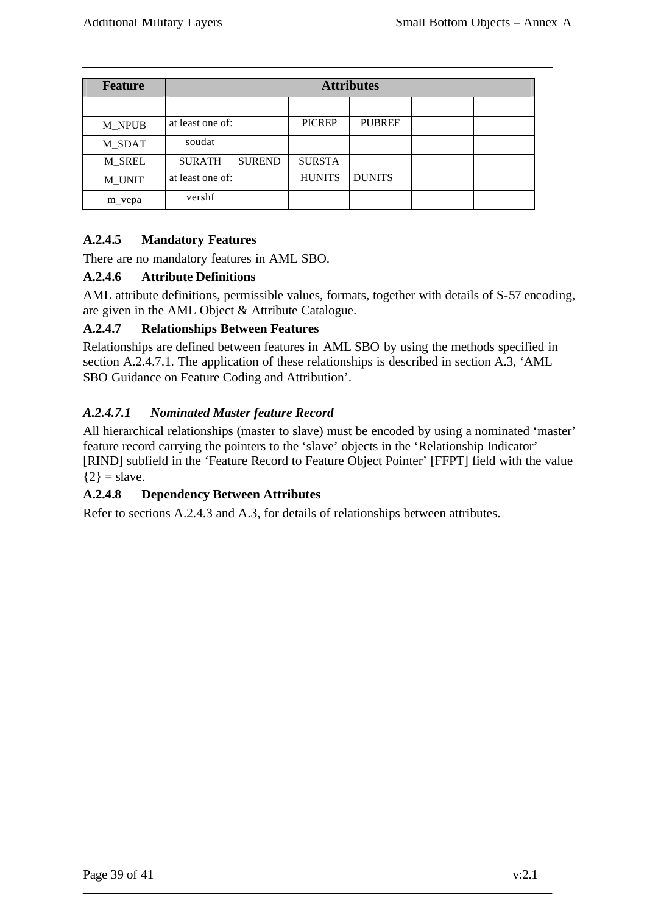| <b>Feature</b> | <b>Attributes</b> |               |               |               |  |  |
|----------------|-------------------|---------------|---------------|---------------|--|--|
|                |                   |               |               |               |  |  |
| <b>M_NPUB</b>  | at least one of:  |               | <b>PICREP</b> | <b>PUBREF</b> |  |  |
| M_SDAT         | soudat            |               |               |               |  |  |
| <b>M_SREL</b>  | <b>SURATH</b>     | <b>SUREND</b> | <b>SURSTA</b> |               |  |  |
| M_UNIT         | at least one of:  |               | <b>HUNITS</b> | <b>DUNITS</b> |  |  |
| m_vepa         | vershf            |               |               |               |  |  |

#### **A.2.4.5 Mandatory Features**

There are no mandatory features in AML SBO.

#### **A.2.4.6 Attribute Definitions**

AML attribute definitions, permissible values, formats, together with details of S-57 encoding, are given in the AML Object & Attribute Catalogue.

#### **A.2.4.7 Relationships Between Features**

Relationships are defined between features in AML SBO by using the methods specified in section A.2.4.7.1. The application of these relationships is described in section A.3, 'AML SBO Guidance on Feature Coding and Attribution'.

#### *A.2.4.7.1 Nominated Master feature Record*

All hierarchical relationships (master to slave) must be encoded by using a nominated 'master' feature record carrying the pointers to the 'slave' objects in the 'Relationship Indicator' [RIND] subfield in the 'Feature Record to Feature Object Pointer' [FFPT] field with the value  ${2}$  = slave.

#### **A.2.4.8 Dependency Between Attributes**

Refer to sections A.2.4.3 and A.3, for details of relationships between attributes.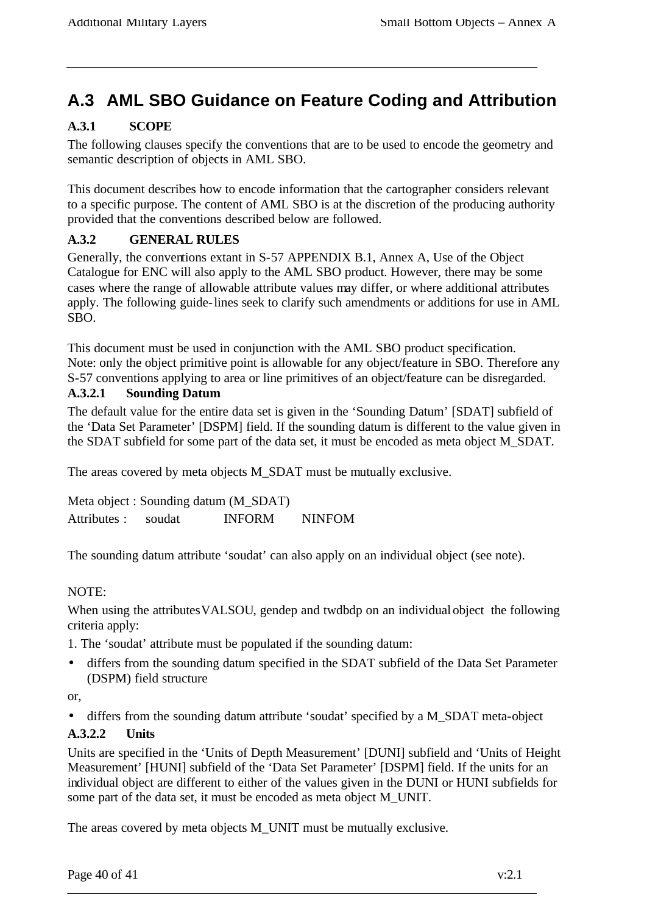# **A.3 AML SBO Guidance on Feature Coding and Attribution**

## **A.3.1 SCOPE**

The following clauses specify the conventions that are to be used to encode the geometry and semantic description of objects in AML SBO.

This document describes how to encode information that the cartographer considers relevant to a specific purpose. The content of AML SBO is at the discretion of the producing authority provided that the conventions described below are followed.

#### **A.3.2 GENERAL RULES**

Generally, the conventions extant in S-57 APPENDIX B.1, Annex A, Use of the Object Catalogue for ENC will also apply to the AML SBO product. However, there may be some cases where the range of allowable attribute values may differ, or where additional attributes apply. The following guide-lines seek to clarify such amendments or additions for use in AML SBO.

This document must be used in conjunction with the AML SBO product specification. Note: only the object primitive point is allowable for any object/feature in SBO. Therefore any S-57 conventions applying to area or line primitives of an object/feature can be disregarded.

#### **A.3.2.1 Sounding Datum**

The default value for the entire data set is given in the 'Sounding Datum' [SDAT] subfield of the 'Data Set Parameter' [DSPM] field. If the sounding datum is different to the value given in the SDAT subfield for some part of the data set, it must be encoded as meta object M\_SDAT.

The areas covered by meta objects M\_SDAT must be mutually exclusive.

Meta object : Sounding datum (M\_SDAT) Attributes : soudat INFORM NINFOM

The sounding datum attribute 'soudat' can also apply on an individual object (see note).

#### NOTE:

When using the attributes VALSOU, gendep and twdbdp on an individual object the following criteria apply:

1. The 'soudat' attribute must be populated if the sounding datum:

• differs from the sounding datum specified in the SDAT subfield of the Data Set Parameter (DSPM) field structure

or,

• differs from the sounding datum attribute 'soudat' specified by a M\_SDAT meta-object

#### **A.3.2.2 Units**

Units are specified in the 'Units of Depth Measurement' [DUNI] subfield and 'Units of Height Measurement' [HUNI] subfield of the 'Data Set Parameter' [DSPM] field. If the units for an individual object are different to either of the values given in the DUNI or HUNI subfields for some part of the data set, it must be encoded as meta object M\_UNIT.

The areas covered by meta objects M\_UNIT must be mutually exclusive.